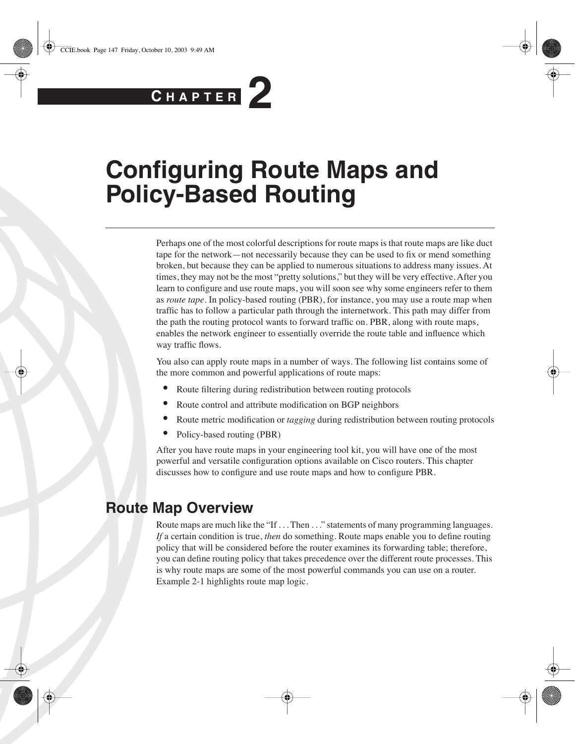# **C H <sup>A</sup> <sup>P</sup> <sup>T</sup> <sup>E</sup> <sup>R</sup> 2**

# **Configuring Route Maps and Policy-Based Routing**

Perhaps one of the most colorful descriptions for route maps is that route maps are like duct tape for the network—not necessarily because they can be used to fix or mend something broken, but because they can be applied to numerous situations to address many issues. At times, they may not be the most "pretty solutions," but they will be very effective. After you learn to configure and use route maps, you will soon see why some engineers refer to them as *route tape*. In policy-based routing (PBR), for instance, you may use a route map when traffic has to follow a particular path through the internetwork. This path may differ from the path the routing protocol wants to forward traffic on. PBR, along with route maps, enables the network engineer to essentially override the route table and influence which way traffic flows.

You also can apply route maps in a number of ways. The following list contains some of the more common and powerful applications of route maps:

- Route filtering during redistribution between routing protocols
- Route control and attribute modification on BGP neighbors
- Route metric modification or *tagging* during redistribution between routing protocols
- Policy-based routing (PBR)

After you have route maps in your engineering tool kit, you will have one of the most powerful and versatile configuration options available on Cisco routers. This chapter discusses how to configure and use route maps and how to configure PBR.

## **Route Map Overview**

Route maps are much like the "If . . . Then . . ." statements of many programming languages. *If* a certain condition is true, *then* do something. Route maps enable you to define routing policy that will be considered before the router examines its forwarding table; therefore, you can define routing policy that takes precedence over the different route processes. This is why route maps are some of the most powerful commands you can use on a router. Example 2-1 highlights route map logic.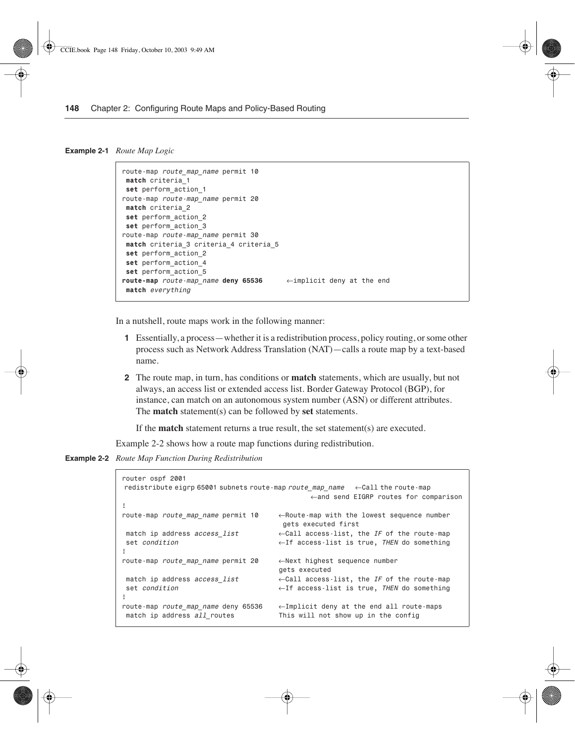#### **Example 2-1** *Route Map Logic*

```
route-map route_map_name permit 10
 match criteria_1
set perform_action_1
route-map route-map_name permit 20
 match criteria_2
set perform_action_2
set perform_action_3
route-map route-map_name permit 30
match criteria_3 criteria_4 criteria_5
set perform_action_2
set perform_action_4
set perform_action_5
route-map route-map_name deny 65536 ←implicit deny at the end
 match everything
```
In a nutshell, route maps work in the following manner:

- **1** Essentially, a process—whether it is a redistribution process, policy routing, or some other process such as Network Address Translation (NAT)—calls a route map by a text-based name.
- **2** The route map, in turn, has conditions or **match** statements, which are usually, but not always, an access list or extended access list. Border Gateway Protocol (BGP), for instance, can match on an autonomous system number (ASN) or different attributes. The **match** statement(s) can be followed by **set** statements.

If the **match** statement returns a true result, the set statement(s) are executed.

Example 2-2 shows how a route map functions during redistribution.

**Example 2-2** *Route Map Function During Redistribution* 

```
router ospf 2001
 redistribute eigrp 65001 subnets route-map route_map_name ←Call the route-map 
                                           ←and send EIGRP routes for comparison
!
route-map route_map_name permit 10 ←Route-map with the lowest sequence number
                                    gets executed first
 match ip address access_list ←Call access-list, the IF of the route-map
 set condition ←If access-list is true, THEN do something
!
route-map route_map_name permit 20 ←Next highest sequence number
                                    gets executed
 match ip address access_list ←Call access-list, the IF of the route-map
 set condition ←If access-list is true, THEN do something
!
route-map route_map_name deny 65536 ←Implicit deny at the end all route-maps
 match ip address all_routes This will not show up in the config
```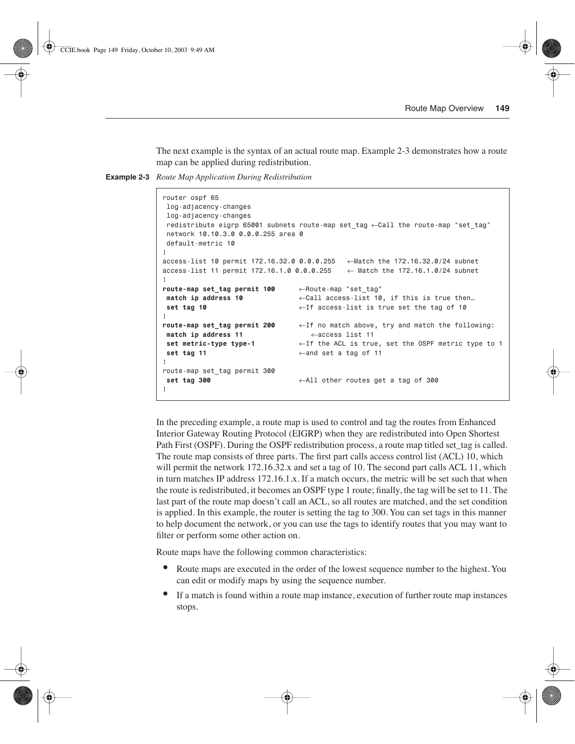The next example is the syntax of an actual route map. Example 2-3 demonstrates how a route map can be applied during redistribution.

**Example 2-3** *Route Map Application During Redistribution* 

```
router ospf 65
 log-adjacency-changes
 log-adjacency-changes
 redistribute eigrp 65001 subnets route-map set_tag ←Call the route-map "set_tag"
 network 10.10.3.0 0.0.0.255 area 0
 default-metric 10
!
access-list 10 permit 172.16.32.0 0.0.0.255 ←Match the 172.16.32.0/24 subnet
access-list 11 permit 172.16.1.0 0.0.0.255 ← Match the 172.16.1.0/24 subnet
!
route-map set_tag permit 100 ←Route-map "set_tag"
match ip address 10 ←Call access-list 10, if this is true then…
set tag 10 ←If access-list is true set the tag of 10
!
route-map set_tag permit 200 ←If no match above, try and match the following: 
match ip address 11 ←access list 11
set metric-type type-1 ←If the ACL is true, set the OSPF metric type to 1
set tag 11 ← and set a tag of 11
!
route-map set_tag permit 300
  set tag 300 ←All other routes get a tag of 300
!
```
In the preceding example, a route map is used to control and tag the routes from Enhanced Interior Gateway Routing Protocol (EIGRP) when they are redistributed into Open Shortest Path First (OSPF). During the OSPF redistribution process, a route map titled set tag is called. The route map consists of three parts. The first part calls access control list (ACL) 10, which will permit the network 172.16.32.x and set a tag of 10. The second part calls ACL 11, which in turn matches IP address 172.16.1.x. If a match occurs, the metric will be set such that when the route is redistributed, it becomes an OSPF type 1 route; finally, the tag will be set to 11. The last part of the route map doesn't call an ACL, so all routes are matched, and the set condition is applied. In this example, the router is setting the tag to 300. You can set tags in this manner to help document the network, or you can use the tags to identify routes that you may want to filter or perform some other action on.

Route maps have the following common characteristics:

- Route maps are executed in the order of the lowest sequence number to the highest. You can edit or modify maps by using the sequence number.
- If a match is found within a route map instance, execution of further route map instances stops.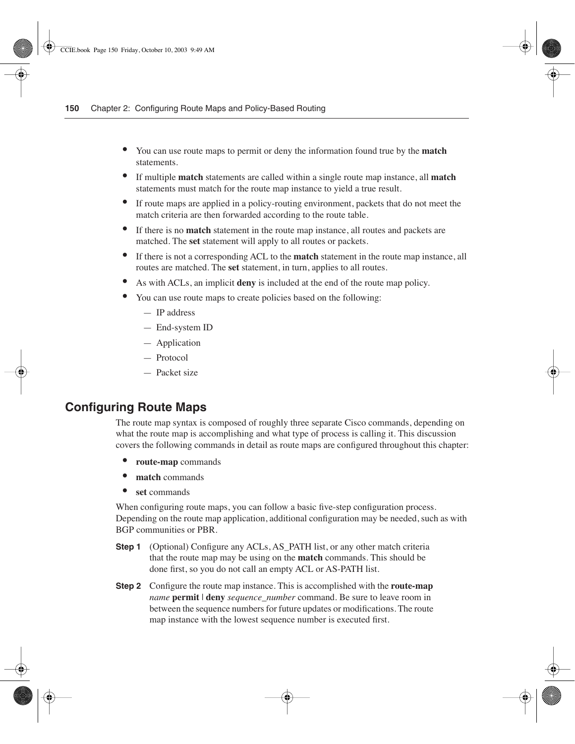- You can use route maps to permit or deny the information found true by the **match** statements.
- If multiple **match** statements are called within a single route map instance, all **match** statements must match for the route map instance to yield a true result.
- If route maps are applied in a policy-routing environment, packets that do not meet the match criteria are then forwarded according to the route table.
- If there is no **match** statement in the route map instance, all routes and packets are matched. The **set** statement will apply to all routes or packets.
- If there is not a corresponding ACL to the **match** statement in the route map instance, all routes are matched. The **set** statement, in turn, applies to all routes.
- As with ACLs, an implicit **deny** is included at the end of the route map policy.
- You can use route maps to create policies based on the following:
	- IP address
	- End-system ID
	- Application
	- Protocol
	- Packet size

## **Configuring Route Maps**

The route map syntax is composed of roughly three separate Cisco commands, depending on what the route map is accomplishing and what type of process is calling it. This discussion covers the following commands in detail as route maps are configured throughout this chapter:

- **route-map** commands
- **match** commands
- **set** commands

When configuring route maps, you can follow a basic five-step configuration process. Depending on the route map application, additional configuration may be needed, such as with BGP communities or PBR.

- **Step 1** (Optional) Configure any ACLs, AS PATH list, or any other match criteria that the route map may be using on the **match** commands. This should be done first, so you do not call an empty ACL or AS-PATH list.
- **Step 2** Configure the route map instance. This is accomplished with the **route-map**  *name* **permit** | **deny** *sequence\_number* command. Be sure to leave room in between the sequence numbers for future updates or modifications. The route map instance with the lowest sequence number is executed first.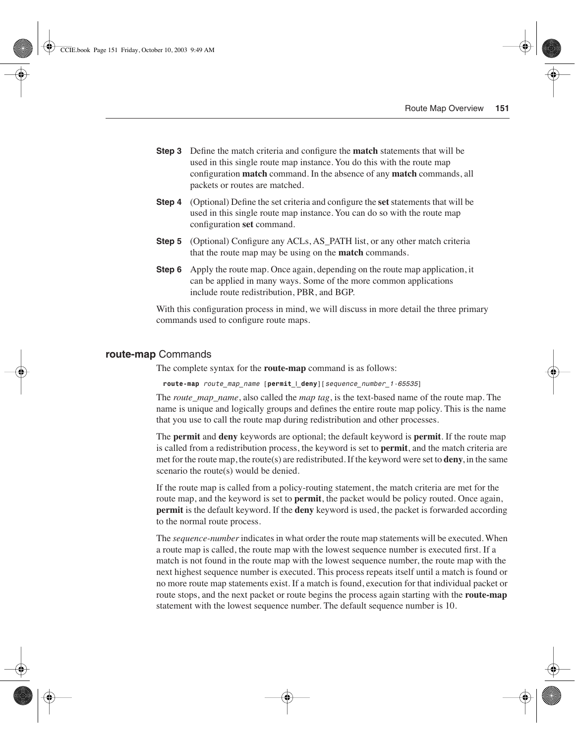- **Step 3** Define the match criteria and configure the **match** statements that will be used in this single route map instance. You do this with the route map configuration **match** command. In the absence of any **match** commands, all packets or routes are matched.
- **Step 4** (Optional) Define the set criteria and configure the **set** statements that will be used in this single route map instance. You can do so with the route map configuration **set** command.
- **Step 5** (Optional) Configure any ACLs, AS\_PATH list, or any other match criteria that the route map may be using on the **match** commands.
- **Step 6** Apply the route map. Once again, depending on the route map application, it can be applied in many ways. Some of the more common applications include route redistribution, PBR, and BGP.

With this configuration process in mind, we will discuss in more detail the three primary commands used to configure route maps.

#### **route-map** Commands

The complete syntax for the **route-map** command is as follows:

*route-map route\_map\_name [permit\_***|***\_deny][sequence\_number\_1-65535]* 

The *route\_map\_name*, also called the *map tag*, is the text-based name of the route map. The name is unique and logically groups and defines the entire route map policy. This is the name that you use to call the route map during redistribution and other processes.

The **permit** and **deny** keywords are optional; the default keyword is **permit**. If the route map is called from a redistribution process, the keyword is set to **permit**, and the match criteria are met for the route map, the route(s) are redistributed. If the keyword were set to **deny**, in the same scenario the route(s) would be denied.

If the route map is called from a policy-routing statement, the match criteria are met for the route map, and the keyword is set to **permit**, the packet would be policy routed. Once again, **permit** is the default keyword. If the **deny** keyword is used, the packet is forwarded according to the normal route process.

The *sequence-number* indicates in what order the route map statements will be executed. When a route map is called, the route map with the lowest sequence number is executed first. If a match is not found in the route map with the lowest sequence number, the route map with the next highest sequence number is executed. This process repeats itself until a match is found or no more route map statements exist. If a match is found, execution for that individual packet or route stops, and the next packet or route begins the process again starting with the **route-map** statement with the lowest sequence number. The default sequence number is 10.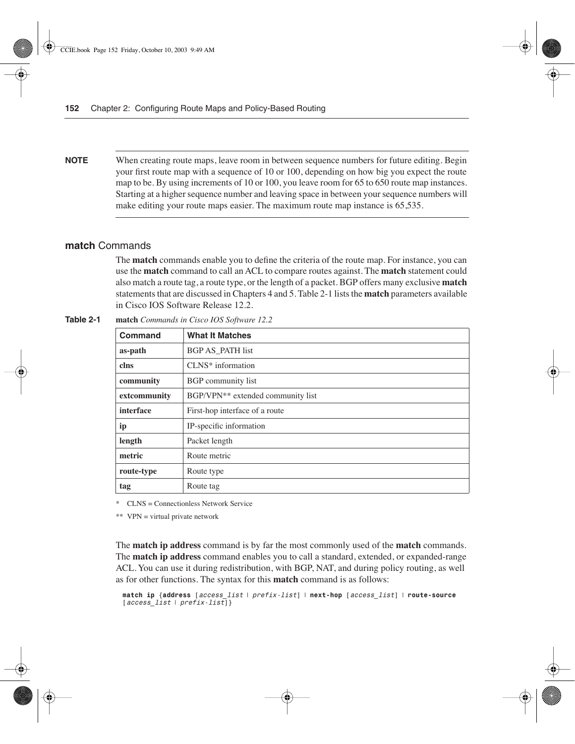**NOTE** When creating route maps, leave room in between sequence numbers for future editing. Begin your first route map with a sequence of 10 or 100, depending on how big you expect the route map to be. By using increments of 10 or 100, you leave room for 65 to 650 route map instances. Starting at a higher sequence number and leaving space in between your sequence numbers will make editing your route maps easier. The maximum route map instance is 65,535.

#### **match** Commands

The **match** commands enable you to define the criteria of the route map. For instance, you can use the **match** command to call an ACL to compare routes against. The **match** statement could also match a route tag, a route type, or the length of a packet. BGP offers many exclusive **match**  statements that are discussed in Chapters 4 and 5. Table 2-1 lists the **match** parameters available in Cisco IOS Software Release 12.2.

| Command      | <b>What It Matches</b>                        |
|--------------|-----------------------------------------------|
| as-path      | <b>BGP AS PATH list</b>                       |
| clns         | CLNS* information                             |
| community    | BGP community list                            |
| extcommunity | BGP/VPN <sup>**</sup> extended community list |
| interface    | First-hop interface of a route                |
| ip           | IP-specific information                       |
| length       | Packet length                                 |
| metric       | Route metric                                  |
| route-type   | Route type                                    |
| tag          | Route tag                                     |

| Table 2-1 |  | match Commands in Cisco IOS Software 12.2 |  |  |  |  |  |
|-----------|--|-------------------------------------------|--|--|--|--|--|
|-----------|--|-------------------------------------------|--|--|--|--|--|

\* CLNS = Connectionless Network Service

\*\* VPN = virtual private network

The **match ip address** command is by far the most commonly used of the **match** commands. The **match ip address** command enables you to call a standard, extended, or expanded-range ACL. You can use it during redistribution, with BGP, NAT, and during policy routing, as well as for other functions. The syntax for this **match** command is as follows:

```
match ip {address [access_list | prefix-list] | next-hop [access_list] | route-source 
[access_list | prefix-list]}
```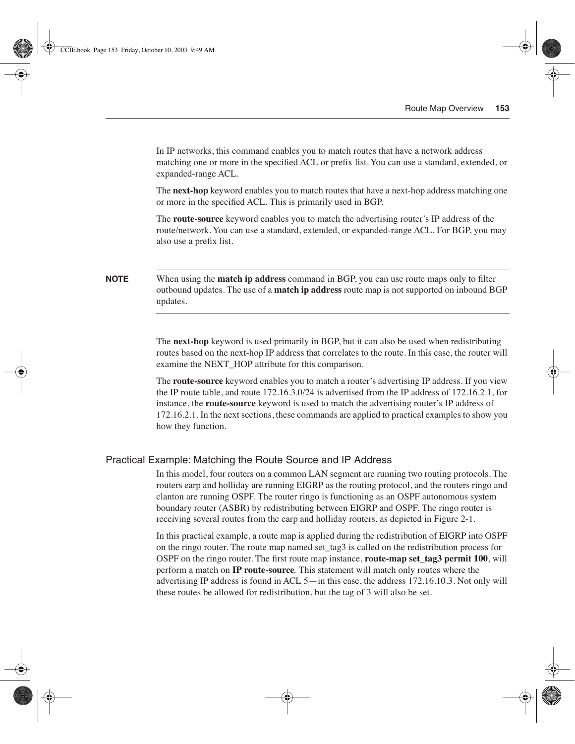In IP networks, this command enables you to match routes that have a network address matching one or more in the specified ACL or prefix list. You can use a standard, extended, or expanded-range ACL.

The **next-hop** keyword enables you to match routes that have a next-hop address matching one or more in the specified ACL. This is primarily used in BGP.

The **route-source** keyword enables you to match the advertising router's IP address of the route/network. You can use a standard, extended, or expanded-range ACL. For BGP, you may also use a prefix list.

#### **NOTE** When using the **match ip address** command in BGP, you can use route maps only to filter outbound updates. The use of a **match ip address** route map is not supported on inbound BGP updates.

The **next-hop** keyword is used primarily in BGP, but it can also be used when redistributing routes based on the next-hop IP address that correlates to the route. In this case, the router will examine the NEXT\_HOP attribute for this comparison.

The **route-source** keyword enables you to match a router's advertising IP address. If you view the IP route table, and route 172.16.3.0/24 is advertised from the IP address of 172.16.2.1, for instance, the **route-source** keyword is used to match the advertising router's IP address of 172.16.2.1. In the next sections, these commands are applied to practical examples to show you how they function.

#### Practical Example: Matching the Route Source and IP Address

In this model, four routers on a common LAN segment are running two routing protocols. The routers earp and holliday are running EIGRP as the routing protocol, and the routers ringo and clanton are running OSPF. The router ringo is functioning as an OSPF autonomous system boundary router (ASBR) by redistributing between EIGRP and OSPF. The ringo router is receiving several routes from the earp and holliday routers, as depicted in Figure 2-1.

In this practical example, a route map is applied during the redistribution of EIGRP into OSPF on the ringo router. The route map named set\_tag3 is called on the redistribution process for OSPF on the ringo router. The first route map instance, **route-map set\_tag3 permit 100**, will perform a match on **IP route-source***.* This statement will match only routes where the advertising IP address is found in ACL 5—in this case, the address 172.16.10.3. Not only will these routes be allowed for redistribution, but the tag of 3 will also be set.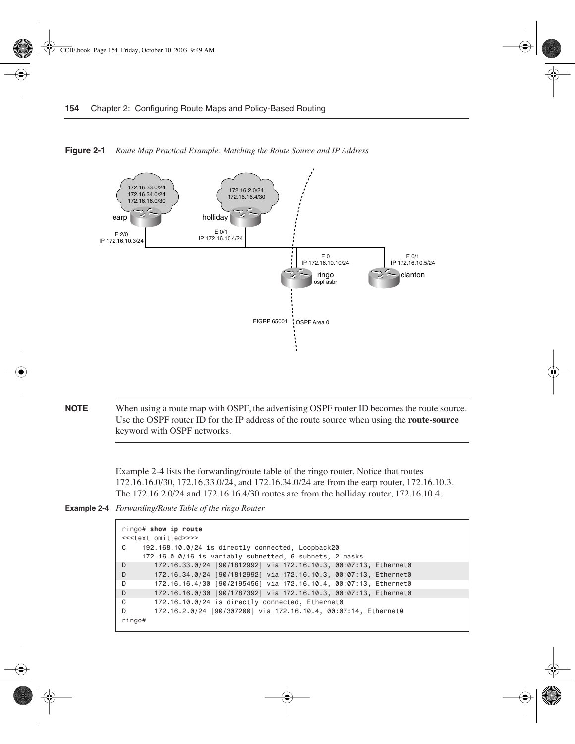

**Figure 2-1** *Route Map Practical Example: Matching the Route Source and IP Address*

**NOTE** When using a route map with OSPF, the advertising OSPF router ID becomes the route source. Use the OSPF router ID for the IP address of the route source when using the **route-source** keyword with OSPF networks.

> Example 2-4 lists the forwarding/route table of the ringo router. Notice that routes 172.16.16.0/30, 172.16.33.0/24, and 172.16.34.0/24 are from the earp router, 172.16.10.3. The 172.16.2.0/24 and 172.16.16.4/30 routes are from the holliday router, 172.16.10.4.

**Example 2-4** *Forwarding/Route Table of the ringo Router* 

```
ringo# show ip route
<<<text omitted>>>>
C 192.168.10.0/24 is directly connected, Loopback20
     172.16.0.0/16 is variably subnetted, 6 subnets, 2 masks
D 172.16.33.0/24 [90/1812992] via 172.16.10.3, 00:07:13, Ethernet0
D 172.16.34.0/24 [90/1812992] via 172.16.10.3, 00:07:13, Ethernet0
D 172.16.16.4/30 [90/2195456] via 172.16.10.4, 00:07:13, Ethernet0
D 172.16.16.0/30 [90/1787392] via 172.16.10.3, 00:07:13, Ethernet0
C 172.16.10.0/24 is directly connected, Ethernet0
D 172.16.2.0/24 [90/307200] via 172.16.10.4, 00:07:14, Ethernet0
ringo#
```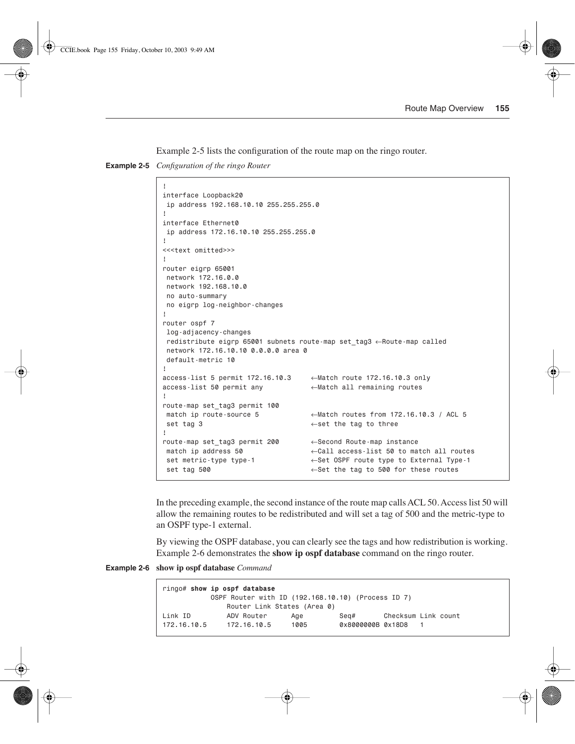Example 2-5 lists the configuration of the route map on the ringo router.

**Example 2-5** *Configuration of the ringo Router* 

```
!
interface Loopback20
 ip address 192.168.10.10 255.255.255.0
!
interface Ethernet0
 ip address 172.16.10.10 255.255.255.0
!
<<<text omitted>>>
!
router eigrp 65001
 network 172.16.0.0
 network 192.168.10.0
 no auto-summary
 no eigrp log-neighbor-changes
!
router ospf 7
 log-adjacency-changes
 redistribute eigrp 65001 subnets route-map set_tag3 ←Route-map called
 network 172.16.10.10 0.0.0.0 area 0
 default-metric 10
!
access-list 5 permit 172.16.10.3 ←Match route 172.16.10.3 only
access-list 50 permit any ←Match all remaining routes
!
route-map set_tag3 permit 100
 match ip route-source 5 ←Match routes from 172.16.10.3 / ACL 5
 set tag 3 ←set the tag to three
!
route-map set_tag3 permit 200 ←Second Route-map instance
 match ip address 50 ←Call access-list 50 to match all routes
 set metric-type type-1 ←Set OSPF route type to External Type-1
  set tag 500 ←Set the tag to 500 for these routes
```
In the preceding example, the second instance of the route map calls ACL 50. Access list 50 will allow the remaining routes to be redistributed and will set a tag of 500 and the metric-type to an OSPF type-1 external.

By viewing the OSPF database, you can clearly see the tags and how redistribution is working. Example 2-6 demonstrates the **show ip ospf database** command on the ringo router.

**Example 2-6 show ip ospf database** *Command* 

```
ringo# show ip ospf database
           OSPF Router with ID (192.168.10.10) (Process ID 7)
             Router Link States (Area 0)
Link ID ADV Router Age Seq# Checksum Link count
172.16.10.5 172.16.10.5 1005 0x8000000B 0x18D8 1
```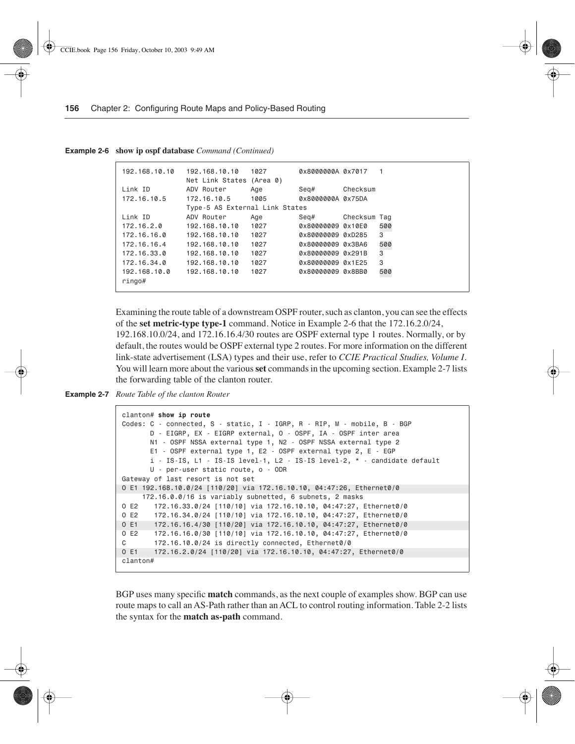| 192.168.10.10 | 192.168.10.10<br>Net Link States (Area 0) | 1027 | 0x8000000A 0x7017 |              |     |
|---------------|-------------------------------------------|------|-------------------|--------------|-----|
| Link ID       | ADV Router                                | Age  | Seg#              | Checksum     |     |
| 172.16.10.5   | 172.16.10.5                               | 1005 | 0x8000000A 0x75DA |              |     |
|               | Type-5 AS External Link States            |      |                   |              |     |
| Link ID       | ADV Router                                | Age  | Seg#              | Checksum Tag |     |
| 172.16.2.0    | 192.168.10.10                             | 1027 | 0x80000009 0x10E0 |              | 500 |
| 172.16.16.0   | 192.168.10.10                             | 1027 | 0x80000009 0xD285 |              | 3   |
| 172.16.16.4   | 192.168.10.10                             | 1027 |                   |              | 500 |
| 172.16.33.0   | 192.168.10.10                             | 1027 | 0x80000009 0x291B |              | 3   |
| 172.16.34.0   | 192.168.10.10                             | 1027 | 0x80000009 0x1E25 |              | 3   |
| 192.168.10.0  | 192.168.10.10                             | 1027 | 0x80000009 0x8BB0 |              | 500 |
| $r$ ingo#     |                                           |      |                   |              |     |
|               |                                           |      |                   |              |     |

**Example 2-6 show ip ospf database** *Command (Continued)*

Examining the route table of a downstream OSPF router, such as clanton, you can see the effects of the **set metric-type type-1** command. Notice in Example 2-6 that the 172.16.2.0/24, 192.168.10.0/24, and 172.16.16.4/30 routes are OSPF external type 1 routes. Normally, or by default, the routes would be OSPF external type 2 routes. For more information on the different link-state advertisement (LSA) types and their use, refer to *CCIE Practical Studies, Volume I*. You will learn more about the various **set** commands in the upcoming section. Example 2-7 lists the forwarding table of the clanton router.

**Example 2-7** *Route Table of the clanton Router* 

```
clanton# show ip route
Codes: C - connected, S - static, I - IGRP, R - RIP, M - mobile, B - BGP
       D - EIGRP, EX - EIGRP external, O - OSPF, IA - OSPF inter area
       N1 - OSPF NSSA external type 1, N2 - OSPF NSSA external type 2
        E1 - OSPF external type 1, E2 - OSPF external type 2, E - EGP
        i - IS-IS, L1 - IS-IS level-1, L2 - IS-IS level-2, * - candidate default
       U - per-user static route, o - ODR
Gateway of last resort is not set
O E1 192.168.10.0/24 [110/20] via 172.16.10.10, 04:47:26, Ethernet0/0
      172.16.0.0/16 is variably subnetted, 6 subnets, 2 masks
O E2 172.16.33.0/24 [110/10] via 172.16.10.10, 04:47:27, Ethernet0/0
O E2 172.16.34.0/24 [110/10] via 172.16.10.10, 04:47:27, Ethernet0/0
O E1 172.16.16.4/30 [110/20] via 172.16.10.10, 04:47:27, Ethernet0/0
O E2 172.16.16.0/30 [110/10] via 172.16.10.10, 04:47:27, Ethernet0/0
C 172.16.10.0/24 is directly connected, Ethernet0/0
O E1 172.16.2.0/24 [110/20] via 172.16.10.10, 04:47:27, Ethernet0/0
clanton#
```
BGP uses many specific **match** commands, as the next couple of examples show. BGP can use route maps to call an AS-Path rather than an ACL to control routing information. Table 2-2 lists the syntax for the **match as-path** command.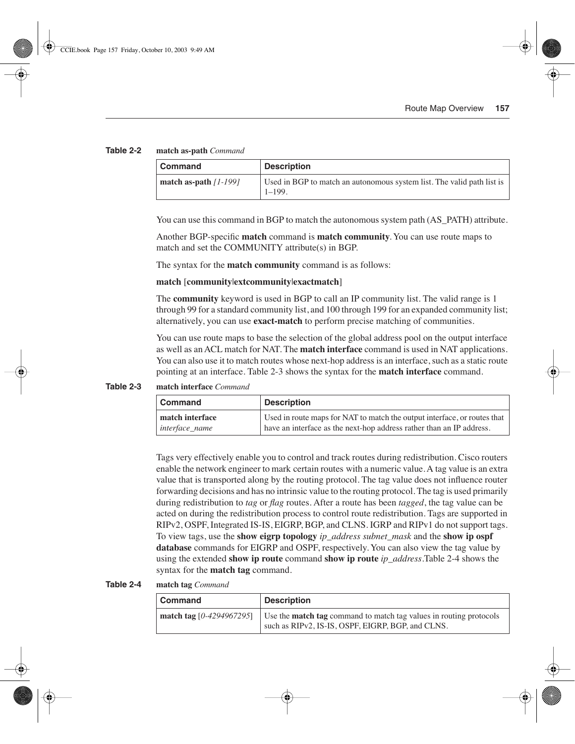#### **Table 2-2 match as-path** *Command*

| Command                 | <b>Description</b>                                                                   |
|-------------------------|--------------------------------------------------------------------------------------|
| match as-path $11-1991$ | Used in BGP to match an autonomous system list. The valid path list is<br>$1 - 199.$ |

You can use this command in BGP to match the autonomous system path (AS\_PATH) attribute.

Another BGP-specific **match** command is **match community**. You can use route maps to match and set the COMMUNITY attribute(s) in BGP.

The syntax for the **match community** command is as follows:

#### **match** [**community**|**extcommunity**|**exactmatch**]

The **community** keyword is used in BGP to call an IP community list. The valid range is 1 through 99 for a standard community list, and 100 through 199 for an expanded community list; alternatively, you can use **exact-match** to perform precise matching of communities.

You can use route maps to base the selection of the global address pool on the output interface as well as an ACL match for NAT. The **match interface** command is used in NAT applications. You can also use it to match routes whose next-hop address is an interface, such as a static route pointing at an interface. Table 2-3 shows the syntax for the **match interface** command.

**Table 2-3 match interface** *Command*

| <b>Command</b>  | <b>Description</b>                                                       |
|-----------------|--------------------------------------------------------------------------|
| match interface | Used in route maps for NAT to match the output interface, or routes that |
| interface_name  | have an interface as the next-hop address rather than an IP address.     |

Tags very effectively enable you to control and track routes during redistribution. Cisco routers enable the network engineer to mark certain routes with a numeric value. A tag value is an extra value that is transported along by the routing protocol. The tag value does not influence router forwarding decisions and has no intrinsic value to the routing protocol. The tag is used primarily during redistribution to *tag* or *flag* routes. After a route has been *tagged*, the tag value can be acted on during the redistribution process to control route redistribution. Tags are supported in RIPv2, OSPF, Integrated IS-IS, EIGRP, BGP, and CLNS. IGRP and RIPv1 do not support tags. To view tags, use the **show eigrp topology** *ip\_address subnet\_mask* and the **show ip ospf database** commands for EIGRP and OSPF, respectively. You can also view the tag value by using the extended **show ip route** command **show ip route** *ip\_address*.Table 2-4 shows the syntax for the **match tag** command.

**Table 2-4 match tag** *Command*

| Command                  | <b>Description</b>                                                                                                             |
|--------------------------|--------------------------------------------------------------------------------------------------------------------------------|
| match tag [0-4294967295] | Use the <b>match tag</b> command to match tag values in routing protocols<br>such as RIPv2, IS-IS, OSPF, EIGRP, BGP, and CLNS. |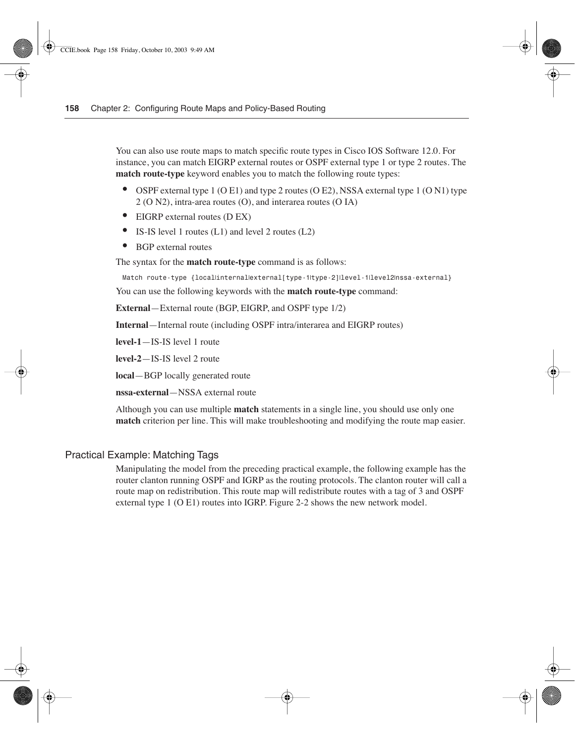You can also use route maps to match specific route types in Cisco IOS Software 12.0. For instance, you can match EIGRP external routes or OSPF external type 1 or type 2 routes. The **match route-type** keyword enables you to match the following route types:

- OSPF external type 1 (O E1) and type 2 routes (O E2), NSSA external type 1 (O N1) type 2 (O N2), intra-area routes (O), and interarea routes (O IA)
- EIGRP external routes (D EX)
- IS-IS level 1 routes (L1) and level 2 routes (L2)
- BGP external routes

The syntax for the **match route-type** command is as follows:

*Match route-type {local*|*internal*|*external[type-1*|*type-2]*|*level-1*|*level2*|*nssa-external}*

You can use the following keywords with the **match route-type** command:

**External**—External route (BGP, EIGRP, and OSPF type 1/2)

**Internal**—Internal route (including OSPF intra/interarea and EIGRP routes)

**level-1**—IS-IS level 1 route

**level-2**—IS-IS level 2 route

**local**—BGP locally generated route

**nssa-external**—NSSA external route

Although you can use multiple **match** statements in a single line, you should use only one **match** criterion per line. This will make troubleshooting and modifying the route map easier.

#### Practical Example: Matching Tags

Manipulating the model from the preceding practical example, the following example has the router clanton running OSPF and IGRP as the routing protocols. The clanton router will call a route map on redistribution. This route map will redistribute routes with a tag of 3 and OSPF external type 1 (O E1) routes into IGRP. Figure 2-2 shows the new network model.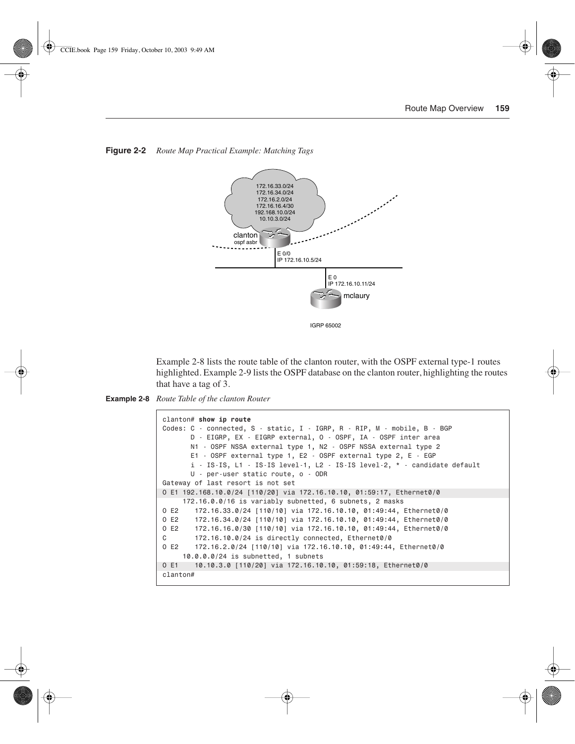

**Figure 2-2** *Route Map Practical Example: Matching Tags*

Example 2-8 lists the route table of the clanton router, with the OSPF external type-1 routes highlighted. Example 2-9 lists the OSPF database on the clanton router, highlighting the routes that have a tag of 3.

```
Example 2-8 Route Table of the clanton Router
```

```
clanton# show ip route
Codes: C - connected, S - static, I - IGRP, R - RIP, M - mobile, B - BGP
        D - EIGRP, EX - EIGRP external, O - OSPF, IA - OSPF inter area
        N1 - OSPF NSSA external type 1, N2 - OSPF NSSA external type 2
        E1 - OSPF external type 1, E2 - OSPF external type 2, E - EGP
        i - IS-IS, L1 - IS-IS level-1, L2 - IS-IS level-2, * - candidate default
        U - per-user static route, o - ODR
Gateway of last resort is not set
O E1 192.168.10.0/24 [110/20] via 172.16.10.10, 01:59:17, Ethernet0/0
      172.16.0.0/16 is variably subnetted, 6 subnets, 2 masks
O E2 172.16.33.0/24 [110/10] via 172.16.10.10, 01:49:44, Ethernet0/0
O E2 172.16.34.0/24 [110/10] via 172.16.10.10, 01:49:44, Ethernet0/0
O E2 172.16.16.0/30 [110/10] via 172.16.10.10, 01:49:44, Ethernet0/0
C 172.16.10.0/24 is directly connected, Ethernet0/0
O E2 172.16.2.0/24 [110/10] via 172.16.10.10, 01:49:44, Ethernet0/0
      10.0.0.0/24 is subnetted, 1 subnets
O E1 10.10.3.0 [110/20] via 172.16.10.10, 01:59:18, Ethernet0/0
clanton#
```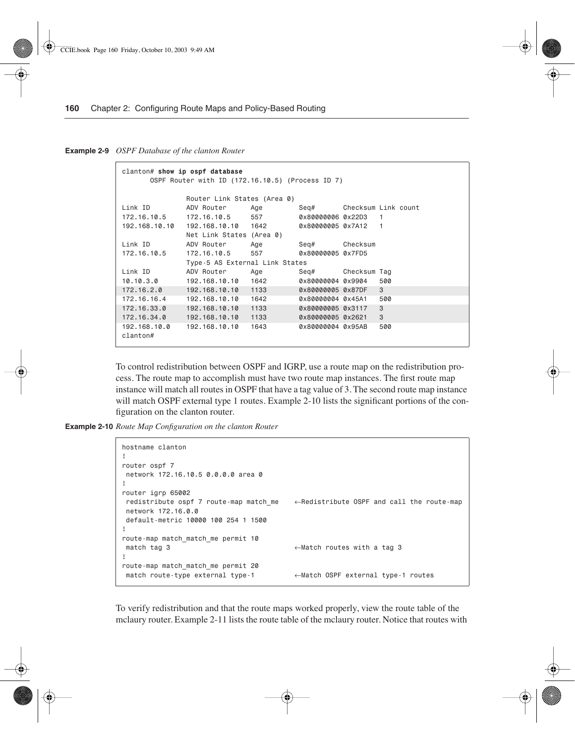**Example 2-9** *OSPF Database of the clanton Router* 

```
clanton# show ip ospf database
      OSPF Router with ID (172.16.10.5) (Process ID 7)
             Router Link States (Area 0)
Link ID ADV Router Age Seq# Checksum Link count
172.16.10.5 172.16.10.5 557 0x80000006 0x22D3 1
192.168.10.10 192.168.10.10 1642 0x80000005 0x7A12 1
            Net Link States (Area 0)
Link ID ADV Router Age Seq# Checksum
172.16.10.5 172.16.10.5 557
            Type-5 AS External Link States
Link ID ADV Router Age Seq# Checksum Tag
10.10.3.0 192.168.10.10 1642 0x80000004 0x9904 500
172.16.2.0 192.168.10.10 1133 0x80000005 0x87DF 3
172.16.16.4 192.168.10.10 1642 0x80000004 0x45A1 500
172.16.33.0 192.168.10.10 1133 0x80000005 0x3117 3
172.16.34.0 192.168.10.10 1133 0x80000005 0x2621 3
192.168.10.0 192.168.10.10 1643 0x80000004 0x95AB 500
clanton#
```
To control redistribution between OSPF and IGRP, use a route map on the redistribution process. The route map to accomplish must have two route map instances. The first route map instance will match all routes in OSPF that have a tag value of 3. The second route map instance will match OSPF external type 1 routes. Example 2-10 lists the significant portions of the configuration on the clanton router.

**Example 2-10** *Route Map Configuration on the clanton Router* 

```
hostname clanton
!
router ospf 7
 network 172.16.10.5 0.0.0.0 area 0
!
router igrp 65002
 redistribute ospf 7 route-map match_me ←Redistribute OSPF and call the route-map
 network 172.16.0.0
 default-metric 10000 100 254 1 1500
!
route-map match_match_me permit 10
 match tag 3 ←Match routes with a tag 3
!
route-map match_match_me permit 20
 match route-type external type-1 ←Match OSPF external type-1 routes
```
To verify redistribution and that the route maps worked properly, view the route table of the mclaury router. Example 2-11 lists the route table of the mclaury router. Notice that routes with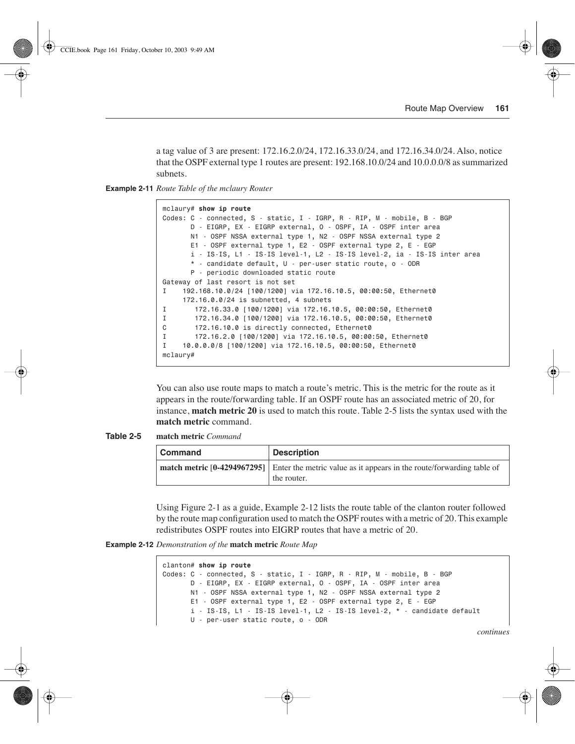a tag value of 3 are present: 172.16.2.0/24, 172.16.33.0/24, and 172.16.34.0/24. Also, notice that the OSPF external type 1 routes are present: 192.168.10.0/24 and 10.0.0.0/8 as summarized subnets.

**Example 2-11** *Route Table of the mclaury Router* 

```
mclaury# show ip route
Codes: C - connected, S - static, I - IGRP, R - RIP, M - mobile, B - BGP
        D - EIGRP, EX - EIGRP external, O - OSPF, IA - OSPF inter area
        N1 - OSPF NSSA external type 1, N2 - OSPF NSSA external type 2
        E1 - OSPF external type 1, E2 - OSPF external type 2, E - EGP
        i - IS-IS, L1 - IS-IS level-1, L2 - IS-IS level-2, ia - IS-IS inter area
        * - candidate default, U - per-user static route, o - ODR
        P - periodic downloaded static route
Gateway of last resort is not set
I 192.168.10.0/24 [100/1200] via 172.16.10.5, 00:00:50, Ethernet0
      172.16.0.0/24 is subnetted, 4 subnets
I 172.16.33.0 [100/1200] via 172.16.10.5, 00:00:50, Ethernet0
I 172.16.34.0 [100/1200] via 172.16.10.5, 00:00:50, Ethernet0
C 172.16.10.0 is directly connected, Ethernet0
I 172.16.2.0 [100/1200] via 172.16.10.5, 00:00:50, Ethernet0
I 10.0.0.0/8 [100/1200] via 172.16.10.5, 00:00:50, Ethernet0
mclaury#
```
You can also use route maps to match a route's metric. This is the metric for the route as it appears in the route/forwarding table. If an OSPF route has an associated metric of 20, for instance, **match metric 20** is used to match this route. Table 2-5 lists the syntax used with the **match metric** command.

**Table 2-5 match metric** *Command*

| <b>Command</b> | <b>Description</b>                                                                                               |
|----------------|------------------------------------------------------------------------------------------------------------------|
|                | match metric [0-4294967295] Enter the metric value as it appears in the route/forwarding table of<br>the router. |

Using Figure 2-1 as a guide, Example 2-12 lists the route table of the clanton router followed by the route map configuration used to match the OSPF routes with a metric of 20. This example redistributes OSPF routes into EIGRP routes that have a metric of 20.

**Example 2-12** *Demonstration of the* **match metric** *Route Map* 

```
clanton# show ip route
Codes: C - connected, S - static, I - IGRP, R - RIP, M - mobile, B - BGP
        D - EIGRP, EX - EIGRP external, O - OSPF, IA - OSPF inter area
       N1 - OSPF NSSA external type 1, N2 - OSPF NSSA external type 2
        E1 - OSPF external type 1, E2 - OSPF external type 2, E - EGP
        i - IS-IS, L1 - IS-IS level-1, L2 - IS-IS level-2, * - candidate default
        U - per-user static route, o - ODR
```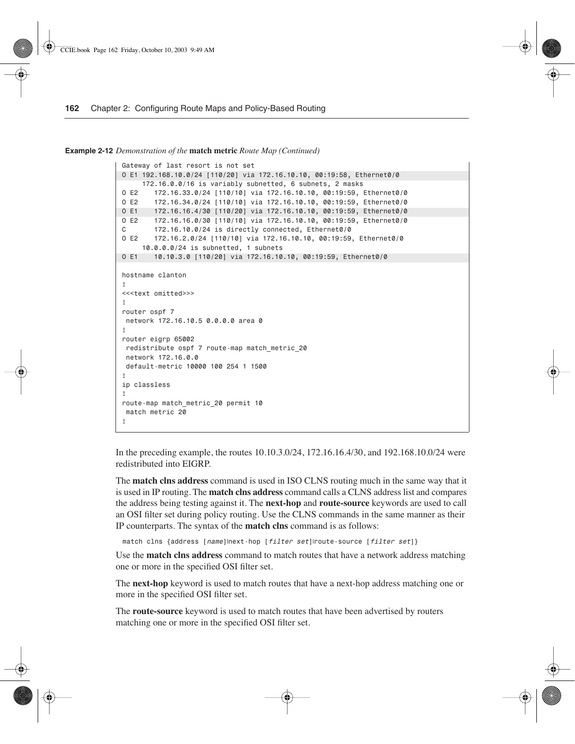**Example 2-12** *Demonstration of the* **match metric** *Route Map (Continued)*

```
Gateway of last resort is not set
O E1 192.168.10.0/24 [110/20] via 172.16.10.10, 00:19:58, Ethernet0/0
      172.16.0.0/16 is variably subnetted, 6 subnets, 2 masks
O E2 172.16.33.0/24 [110/10] via 172.16.10.10, 00:19:59, Ethernet0/0
O E2 172.16.34.0/24 [110/10] via 172.16.10.10, 00:19:59, Ethernet0/0
O E1 172.16.16.4/30 [110/20] via 172.16.10.10, 00:19:59, Ethernet0/0
O E2 172.16.16.0/30 [110/10] via 172.16.10.10, 00:19:59, Ethernet0/0
C 172.16.10.0/24 is directly connected, Ethernet0/0
O E2 172.16.2.0/24 [110/10] via 172.16.10.10, 00:19:59, Ethernet0/0
      10.0.0.0/24 is subnetted, 1 subnets
O E1 10.10.3.0 [110/20] via 172.16.10.10, 00:19:59, Ethernet0/0
hostname clanton
!
<<<text omitted>>>
!
router ospf 7
 network 172.16.10.5 0.0.0.0 area 0
!
router eigrp 65002
 redistribute ospf 7 route-map match_metric_20
 network 172.16.0.0
  default-metric 10000 100 254 1 1500
!
ip classless
!
route-map match_metric_20 permit 10
  match metric 20
!
```
In the preceding example, the routes 10.10.3.0/24, 172.16.16.4/30, and 192.168.10.0/24 were redistributed into EIGRP.

The **match clns address** command is used in ISO CLNS routing much in the same way that it is used in IP routing. The **match clns address** command calls a CLNS address list and compares the address being testing against it. The **next-hop** and **route-source** keywords are used to call an OSI filter set during policy routing. Use the CLNS commands in the same manner as their IP counterparts. The syntax of the **match clns** command is as follows:

```
match clns {address [name]|next-hop [filter set]|route-source [filter set]}
```
Use the **match clns address** command to match routes that have a network address matching one or more in the specified OSI filter set.

The **next-hop** keyword is used to match routes that have a next-hop address matching one or more in the specified OSI filter set.

The **route-source** keyword is used to match routes that have been advertised by routers matching one or more in the specified OSI filter set.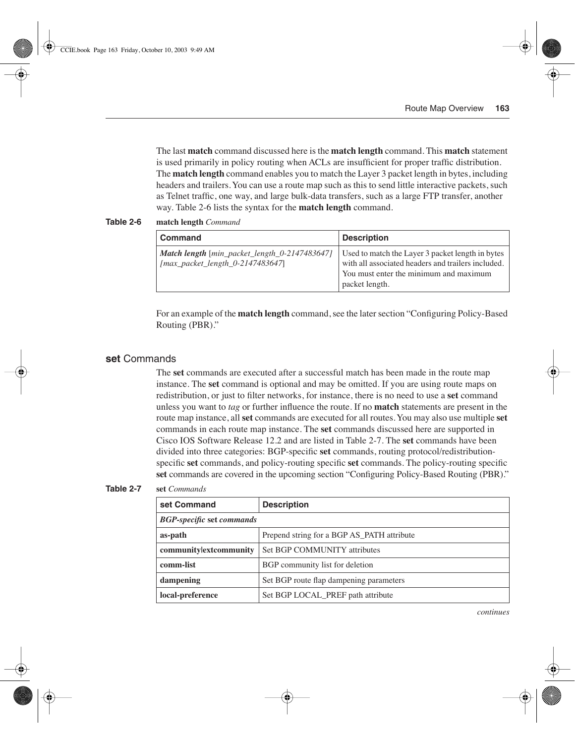The last **match** command discussed here is the **match length** command. This **match** statement is used primarily in policy routing when ACLs are insufficient for proper traffic distribution. The **match length** command enables you to match the Layer 3 packet length in bytes, including headers and trailers. You can use a route map such as this to send little interactive packets, such as Telnet traffic, one way, and large bulk-data transfers, such as a large FTP transfer, another way. Table 2-6 lists the syntax for the **match length** command.

**Table 2-6 match length** *Command*

| <b>Command</b>                                                                                                       | <b>Description</b>                                                                                                                                                 |  |
|----------------------------------------------------------------------------------------------------------------------|--------------------------------------------------------------------------------------------------------------------------------------------------------------------|--|
| <b>Match length</b> $\lceil \text{min\_packet\_length\_0-2147483647} \rceil$<br>$[max\_packet\_length_0-2147483647]$ | Used to match the Layer 3 packet length in bytes<br>with all associated headers and trailers included.<br>You must enter the minimum and maximum<br>packet length. |  |

For an example of the **match length** command, see the later section "Configuring Policy-Based Routing (PBR)."

#### **set** Commands

The **set** commands are executed after a successful match has been made in the route map instance. The **set** command is optional and may be omitted. If you are using route maps on redistribution, or just to filter networks, for instance, there is no need to use a **set** command unless you want to *tag* or further influence the route. If no **match** statements are present in the route map instance, all **set** commands are executed for all routes. You may also use multiple **set**  commands in each route map instance. The **set** commands discussed here are supported in Cisco IOS Software Release 12.2 and are listed in Table 2-7. The **set** commands have been divided into three categories: BGP-specific **set** commands, routing protocol/redistributionspecific **set** commands, and policy-routing specific **set** commands. The policy-routing specific **set** commands are covered in the upcoming section "Configuring Policy-Based Routing (PBR)."

#### **Table 2-7 set** *Commands*

| set Command                                            | <b>Description</b>                         |  |  |
|--------------------------------------------------------|--------------------------------------------|--|--|
| <b>BGP-specific set commands</b>                       |                                            |  |  |
| as-path                                                | Prepend string for a BGP AS_PATH attribute |  |  |
| communitylextcommunity<br>Set BGP COMMUNITY attributes |                                            |  |  |
| comm-list<br>BGP community list for deletion           |                                            |  |  |
| dampening                                              | Set BGP route flap dampening parameters    |  |  |
| local-preference                                       | Set BGP LOCAL_PREF path attribute          |  |  |

*continues*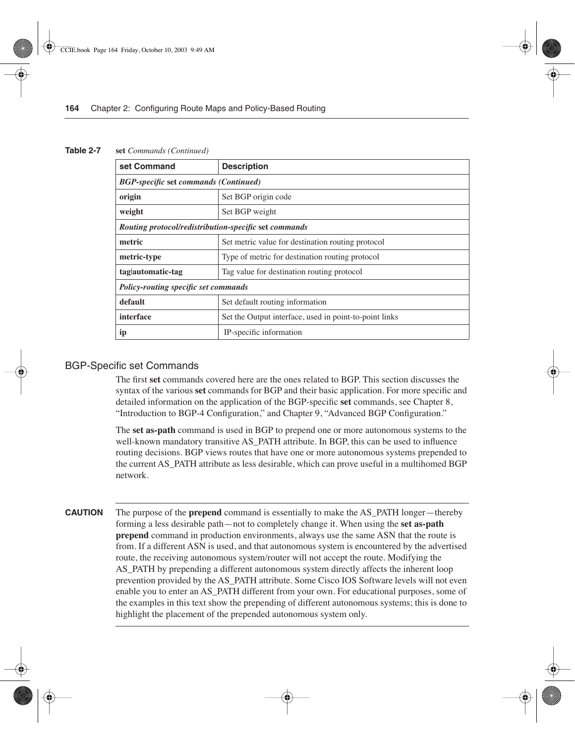| Table 2-7 |  |  | set Commands (Continued) |
|-----------|--|--|--------------------------|
|-----------|--|--|--------------------------|

| set Command                                           | <b>Description</b>                                     |  |  |
|-------------------------------------------------------|--------------------------------------------------------|--|--|
| <b>BGP-specific set commands (Continued)</b>          |                                                        |  |  |
| origin                                                | Set BGP origin code                                    |  |  |
| weight                                                | Set BGP weight                                         |  |  |
| Routing protocol/redistribution-specific set commands |                                                        |  |  |
| metric                                                | Set metric value for destination routing protocol      |  |  |
| metric-type                                           | Type of metric for destination routing protocol        |  |  |
| taglautomatic-tag                                     | Tag value for destination routing protocol             |  |  |
| <b>Policy-routing specific set commands</b>           |                                                        |  |  |
| default                                               | Set default routing information                        |  |  |
| interface                                             | Set the Output interface, used in point-to-point links |  |  |
| ip                                                    | IP-specific information                                |  |  |

#### BGP-Specific set Commands

The first **set** commands covered here are the ones related to BGP. This section discusses the syntax of the various **set** commands for BGP and their basic application. For more specific and detailed information on the application of the BGP-specific **set** commands, see Chapter 8, "Introduction to BGP-4 Configuration," and Chapter 9, "Advanced BGP Configuration."

The **set as-path** command is used in BGP to prepend one or more autonomous systems to the well-known mandatory transitive AS\_PATH attribute. In BGP, this can be used to influence routing decisions. BGP views routes that have one or more autonomous systems prepended to the current AS\_PATH attribute as less desirable, which can prove useful in a multihomed BGP network.

**CAUTION** The purpose of the **prepend** command is essentially to make the AS\_PATH longer—thereby forming a less desirable path—not to completely change it. When using the **set as-path prepend** command in production environments, always use the same ASN that the route is from. If a different ASN is used, and that autonomous system is encountered by the advertised route, the receiving autonomous system/router will not accept the route. Modifying the AS\_PATH by prepending a different autonomous system directly affects the inherent loop prevention provided by the AS\_PATH attribute. Some Cisco IOS Software levels will not even enable you to enter an AS\_PATH different from your own. For educational purposes, some of the examples in this text show the prepending of different autonomous systems; this is done to highlight the placement of the prepended autonomous system only.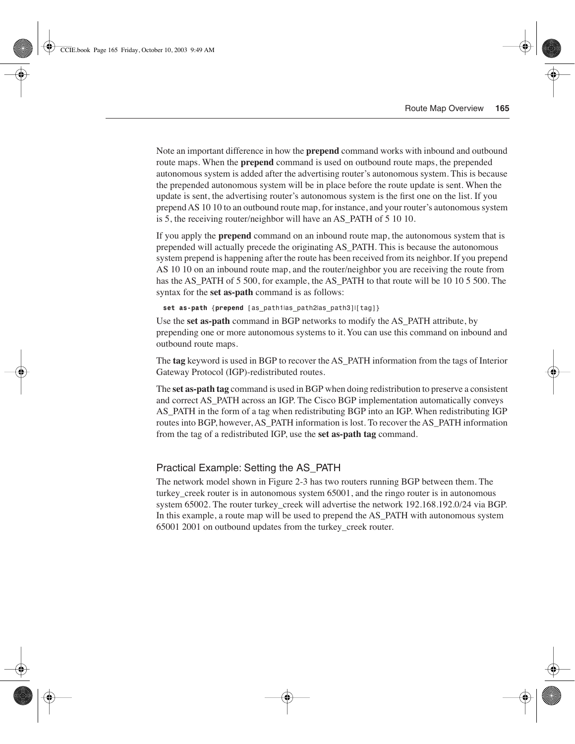Note an important difference in how the **prepend** command works with inbound and outbound route maps. When the **prepend** command is used on outbound route maps, the prepended autonomous system is added after the advertising router's autonomous system. This is because the prepended autonomous system will be in place before the route update is sent. When the update is sent, the advertising router's autonomous system is the first one on the list. If you prepend AS 10 10 to an outbound route map, for instance, and your router's autonomous system is 5, the receiving router/neighbor will have an AS\_PATH of 5 10 10.

If you apply the **prepend** command on an inbound route map, the autonomous system that is prepended will actually precede the originating AS\_PATH. This is because the autonomous system prepend is happening after the route has been received from its neighbor. If you prepend AS 10 10 on an inbound route map, and the router/neighbor you are receiving the route from has the AS PATH of 5 500, for example, the AS PATH to that route will be 10 10 5 500. The syntax for the **set as-path** command is as follows:

*set as-path {prepend [as\_path1*|*as\_path2*|*as\_path3]*|*[tag]}*

Use the **set as-path** command in BGP networks to modify the AS\_PATH attribute, by prepending one or more autonomous systems to it. You can use this command on inbound and outbound route maps.

The **tag** keyword is used in BGP to recover the AS\_PATH information from the tags of Interior Gateway Protocol (IGP)-redistributed routes.

The **set as-path tag** command is used in BGP when doing redistribution to preserve a consistent and correct AS\_PATH across an IGP. The Cisco BGP implementation automatically conveys AS\_PATH in the form of a tag when redistributing BGP into an IGP. When redistributing IGP routes into BGP, however, AS\_PATH information is lost. To recover the AS\_PATH information from the tag of a redistributed IGP, use the **set as-path tag** command.

#### Practical Example: Setting the AS\_PATH

The network model shown in Figure 2-3 has two routers running BGP between them. The turkey\_creek router is in autonomous system 65001, and the ringo router is in autonomous system 65002. The router turkey creek will advertise the network 192.168.192.0/24 via BGP. In this example, a route map will be used to prepend the AS\_PATH with autonomous system 65001 2001 on outbound updates from the turkey\_creek router.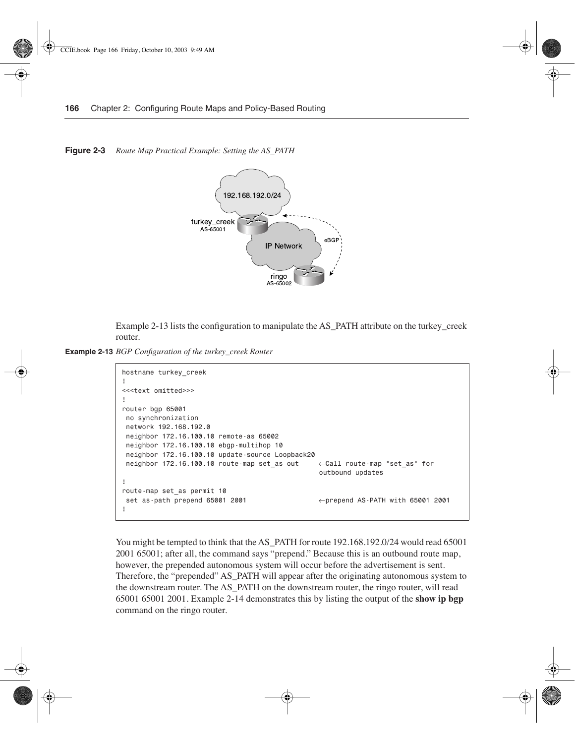**Figure 2-3** *Route Map Practical Example: Setting the AS\_PATH* 



Example 2-13 lists the configuration to manipulate the AS\_PATH attribute on the turkey\_creek router.

**Example 2-13** *BGP Configuration of the turkey\_creek Router* 

```
hostname turkey_creek
!
<<<text omitted>>>
!
router bgp 65001
 no synchronization
 network 192.168.192.0
 neighbor 172.16.100.10 remote-as 65002
 neighbor 172.16.100.10 ebgp-multihop 10
 neighbor 172.16.100.10 update-source Loopback20
 neighbor 172.16.100.10 route-map set_as out ←Call route-map "set_as" for 
                                                 outbound updates
!
route-map set_as permit 10
 set as-path prepend 65001 2001 ←prepend AS-PATH with 65001 2001
!
```
You might be tempted to think that the AS\_PATH for route 192.168.192.0/24 would read 65001 2001 65001; after all, the command says "prepend." Because this is an outbound route map, however, the prepended autonomous system will occur before the advertisement is sent. Therefore, the "prepended" AS\_PATH will appear after the originating autonomous system to the downstream router. The AS\_PATH on the downstream router, the ringo router, will read 65001 65001 2001. Example 2-14 demonstrates this by listing the output of the **show ip bgp**  command on the ringo router.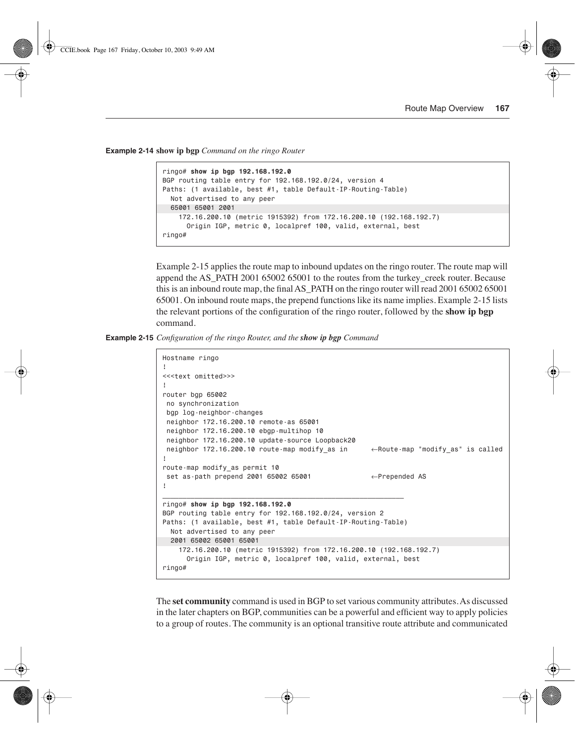**Example 2-14 show ip bgp** *Command on the ringo Router* 

```
ringo# show ip bgp 192.168.192.0
BGP routing table entry for 192.168.192.0/24, version 4
Paths: (1 available, best #1, table Default-IP-Routing-Table)
   Not advertised to any peer
   65001 65001 2001
     172.16.200.10 (metric 1915392) from 172.16.200.10 (192.168.192.7)
       Origin IGP, metric 0, localpref 100, valid, external, best
ringo#
```
Example 2-15 applies the route map to inbound updates on the ringo router. The route map will append the AS\_PATH 2001 65002 65001 to the routes from the turkey\_creek router. Because this is an inbound route map, the final AS\_PATH on the ringo router will read 2001 65002 65001 65001. On inbound route maps, the prepend functions like its name implies. Example 2-15 lists the relevant portions of the configuration of the ringo router, followed by the **show ip bgp**  command.

**Example 2-15** *Configuration of the ringo Router, and the show ip bgp Command* 

```
Hostname ringo
!
<<<text omitted>>>
!
router bgp 65002
 no synchronization
 bgp log-neighbor-changes
 neighbor 172.16.200.10 remote-as 65001
 neighbor 172.16.200.10 ebgp-multihop 10
 neighbor 172.16.200.10 update-source Loopback20
 neighbor 172.16.200.10 route-map modify_as in ←Route-map "modify_as" is called
!
route-map modify_as permit 10
  set as-path prepend 2001 65002 65001 ←Prepended AS
!
____________________________________________________________
ringo# show ip bgp 192.168.192.0
BGP routing table entry for 192.168.192.0/24, version 2
Paths: (1 available, best #1, table Default-IP-Routing-Table)
   Not advertised to any peer
   2001 65002 65001 65001
     172.16.200.10 (metric 1915392) from 172.16.200.10 (192.168.192.7)
       Origin IGP, metric 0, localpref 100, valid, external, best
ringo#
```
The **set community** command is used in BGP to set various community attributes. As discussed in the later chapters on BGP, communities can be a powerful and efficient way to apply policies to a group of routes. The community is an optional transitive route attribute and communicated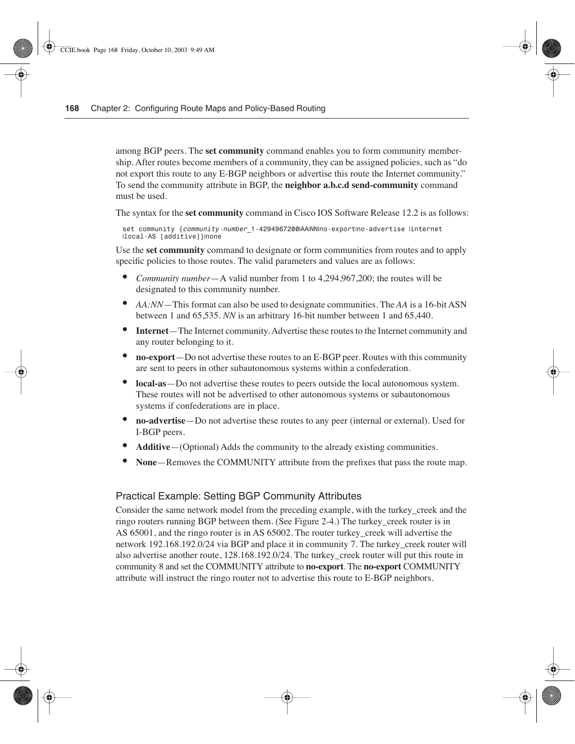among BGP peers. The **set community** command enables you to form community membership. After routes become members of a community, they can be assigned policies, such as "do not export this route to any E-BGP neighbors or advertise this route the Internet community." To send the community attribute in BGP, the **neighbor a.b.c.d send-community** command must be used.

The syntax for the **set community** command in Cisco IOS Software Release 12.2 is as follows:

*set community {community-number\_1-4294967200*|*AA*|*NN*|*no-export*|*no-advertise* |*internet* |*local-AS [additive]}*|*none*

Use the **set community** command to designate or form communities from routes and to apply specific policies to those routes. The valid parameters and values are as follows:

- *Community number*—A valid number from 1 to 4,294,967,200; the routes will be designated to this community number.
- *AA:NN*—This format can also be used to designate communities. The *AA* is a 16-bit ASN between 1 and 65,535. *NN* is an arbitrary 16-bit number between 1 and 65,440.
- **Internet**—The Internet community. Advertise these routes to the Internet community and any router belonging to it.
- **no-export**—Do not advertise these routes to an E-BGP peer. Routes with this community are sent to peers in other subautonomous systems within a confederation.
- **local-as**—Do not advertise these routes to peers outside the local autonomous system. These routes will not be advertised to other autonomous systems or subautonomous systems if confederations are in place.
- **no-advertise**—Do not advertise these routes to any peer (internal or external). Used for I-BGP peers.
- **Additive**—(Optional) Adds the community to the already existing communities.
- **None**—Removes the COMMUNITY attribute from the prefixes that pass the route map.

### Practical Example: Setting BGP Community Attributes

Consider the same network model from the preceding example, with the turkey creek and the ringo routers running BGP between them. (See Figure 2-4.) The turkey\_creek router is in AS 65001, and the ringo router is in AS 65002. The router turkey creek will advertise the network 192.168.192.0/24 via BGP and place it in community 7. The turkey\_creek router will also advertise another route, 128.168.192.0/24. The turkey\_creek router will put this route in community 8 and set the COMMUNITY attribute to **no-export**. The **no-export** COMMUNITY attribute will instruct the ringo router not to advertise this route to E-BGP neighbors.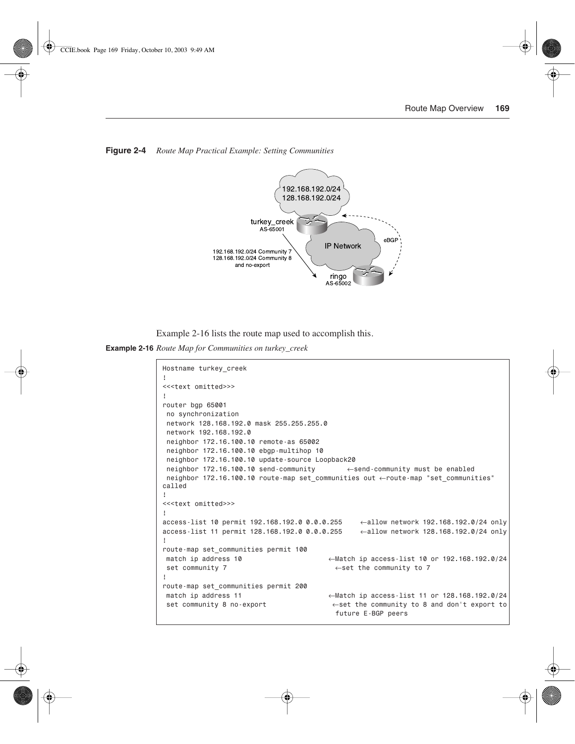

**Figure 2-4** *Route Map Practical Example: Setting Communities*

Example 2-16 lists the route map used to accomplish this.

**Example 2-16** *Route Map for Communities on turkey\_creek* 

```
Hostname turkey_creek
!
<<<text omitted>>>
!
router bgp 65001
 no synchronization
 network 128.168.192.0 mask 255.255.255.0
 network 192.168.192.0
 neighbor 172.16.100.10 remote-as 65002
 neighbor 172.16.100.10 ebgp-multihop 10
 neighbor 172.16.100.10 update-source Loopback20
 neighbor 172.16.100.10 send-community ←send-community must be enabled
 neighbor 172.16.100.10 route-map set_communities out ←route-map "set_communities" 
called
!
<<<text omitted>>>
!
access-list 10 permit 192.168.192.0 0.0.0.255 ←allow network 192.168.192.0/24 only
access-list 11 permit 128.168.192.0 0.0.0.255 ←allow network 128.168.192.0/24 only
!
route-map set_communities permit 100
match ip address 10 ←Match ip access-list 10 or 192.168.192.0/24
 set community 7 ←set the community to 7
!
route-map set_communities permit 200
match ip address 11 ←Match ip access-list 11 or 128.168.192.0/24
 set community 8 no-export ←set the community to 8 and don't export to
                                        future E-BGP peers
```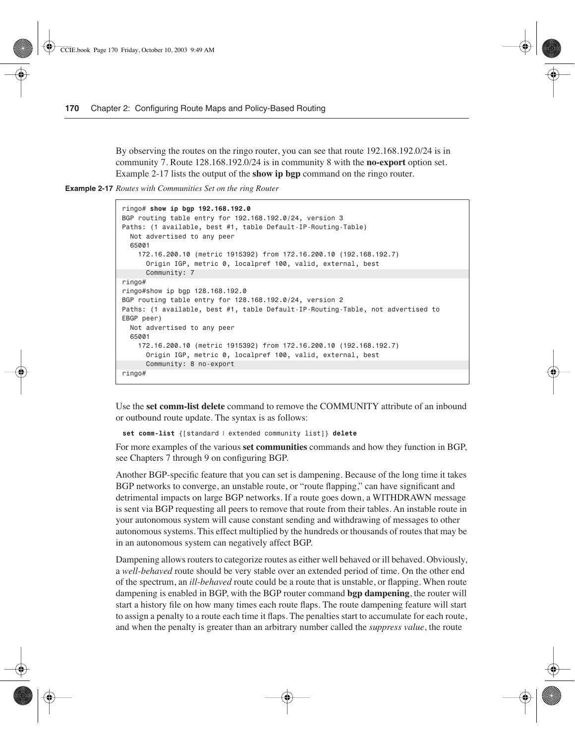By observing the routes on the ringo router, you can see that route 192.168.192.0/24 is in community 7. Route 128.168.192.0/24 is in community 8 with the **no-export** option set. Example 2-17 lists the output of the **show ip bgp** command on the ringo router.

**Example 2-17** *Routes with Communities Set on the ring Router* 

```
ringo# show ip bgp 192.168.192.0
BGP routing table entry for 192.168.192.0/24, version 3
Paths: (1 available, best #1, table Default-IP-Routing-Table)
   Not advertised to any peer
  65001
    172.16.200.10 (metric 1915392) from 172.16.200.10 (192.168.192.7)
       Origin IGP, metric 0, localpref 100, valid, external, best
       Community: 7
ringo#
ringo#show ip bgp 128.168.192.0
BGP routing table entry for 128.168.192.0/24, version 2
Paths: (1 available, best #1, table Default-IP-Routing-Table, not advertised to
EBGP peer)
  Not advertised to any peer
  65001
     172.16.200.10 (metric 1915392) from 172.16.200.10 (192.168.192.7)
       Origin IGP, metric 0, localpref 100, valid, external, best
       Community: 8 no-export
ringo#
```
Use the **set comm-list delete** command to remove the COMMUNITY attribute of an inbound or outbound route update. The syntax is as follows:

*set comm-list {[standard* | *extended community list]} delete*

For more examples of the various **set communities** commands and how they function in BGP, see Chapters 7 through 9 on configuring BGP.

Another BGP-specific feature that you can set is dampening. Because of the long time it takes BGP networks to converge, an unstable route, or "route flapping," can have significant and detrimental impacts on large BGP networks. If a route goes down, a WITHDRAWN message is sent via BGP requesting all peers to remove that route from their tables. An instable route in your autonomous system will cause constant sending and withdrawing of messages to other autonomous systems. This effect multiplied by the hundreds or thousands of routes that may be in an autonomous system can negatively affect BGP.

Dampening allows routers to categorize routes as either well behaved or ill behaved. Obviously, a *well-behaved* route should be very stable over an extended period of time. On the other end of the spectrum, an *ill-behaved* route could be a route that is unstable, or flapping. When route dampening is enabled in BGP, with the BGP router command **bgp dampening**, the router will start a history file on how many times each route flaps. The route dampening feature will start to assign a penalty to a route each time it flaps. The penalties start to accumulate for each route, and when the penalty is greater than an arbitrary number called the *suppress value*, the route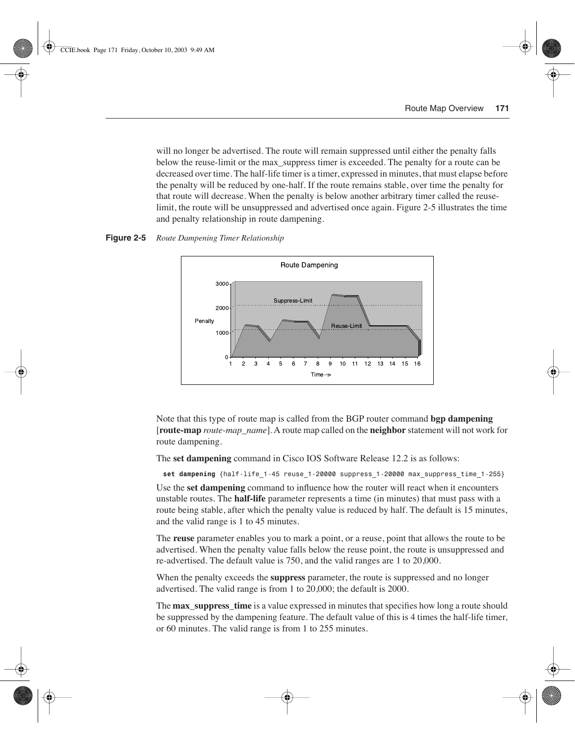will no longer be advertised. The route will remain suppressed until either the penalty falls below the reuse-limit or the max\_suppress timer is exceeded. The penalty for a route can be decreased over time. The half-life timer is a timer, expressed in minutes, that must elapse before the penalty will be reduced by one-half. If the route remains stable, over time the penalty for that route will decrease. When the penalty is below another arbitrary timer called the reuselimit, the route will be unsuppressed and advertised once again. Figure 2-5 illustrates the time and penalty relationship in route dampening.





Note that this type of route map is called from the BGP router command **bgp dampening**  [**route-map** *route-map\_name*].A route map called on the **neighbor** statement will not work for route dampening.

The **set dampening** command in Cisco IOS Software Release 12.2 is as follows:

*set dampening {half-life\_1-45 reuse\_1-20000 suppress\_1-20000 max\_suppress\_time\_1-255}*

Use the **set dampening** command to influence how the router will react when it encounters unstable routes. The **half-life** parameter represents a time (in minutes) that must pass with a route being stable, after which the penalty value is reduced by half. The default is 15 minutes, and the valid range is 1 to 45 minutes.

The **reuse** parameter enables you to mark a point, or a reuse, point that allows the route to be advertised. When the penalty value falls below the reuse point, the route is unsuppressed and re-advertised. The default value is 750, and the valid ranges are 1 to 20,000.

When the penalty exceeds the **suppress** parameter, the route is suppressed and no longer advertised. The valid range is from 1 to 20,000; the default is 2000.

The **max** suppress time is a value expressed in minutes that specifies how long a route should be suppressed by the dampening feature. The default value of this is 4 times the half-life timer, or 60 minutes. The valid range is from 1 to 255 minutes.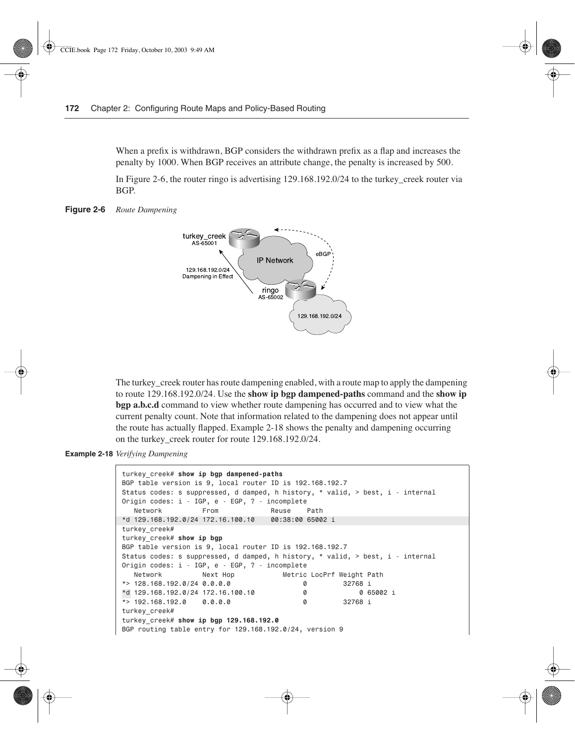When a prefix is withdrawn, BGP considers the withdrawn prefix as a flap and increases the penalty by 1000. When BGP receives an attribute change, the penalty is increased by 500.

In Figure 2-6, the router ringo is advertising 129.168.192.0/24 to the turkey\_creek router via BGP.

**Figure 2-6** *Route Dampening*



The turkey creek router has route dampening enabled, with a route map to apply the dampening to route 129.168.192.0/24. Use the **show ip bgp dampened-paths** command and the **show ip bgp a.b.c.d** command to view whether route dampening has occurred and to view what the current penalty count. Note that information related to the dampening does not appear until the route has actually flapped. Example 2-18 shows the penalty and dampening occurring on the turkey\_creek router for route 129.168.192.0/24.

**Example 2-18** *Verifying Dampening* 

```
turkey_creek# show ip bgp dampened-paths
BGP table version is 9, local router ID is 192.168.192.7
Status codes: s suppressed, d damped, h history, * valid, > best, i - internal
Origin codes: i - IGP, e - EGP, ? - incomplete
   Network From Reuse Path
*d 129.168.192.0/24 172.16.100.10 00:38:00 65002 i
turkey_creek#
turkey_creek# show ip bgp
BGP table version is 9, local router ID is 192.168.192.7
Status codes: s suppressed, d damped, h history, * valid, > best, i - internal
Origin codes: i - IGP, e - EGP, ? - incomplete
   Network Next Hop Metric LocPrf Weight Path
*> 128.168.192.0/24 0.0.0.0 0 32768 i
*d 129.168.192.0/24 172.16.100.10 0 0 65002 i
*d
*> 192.168.192.0 0.0.0.0 0 32768 i
turkey_creek#
turkey_creek# show ip bgp 129.168.192.0
BGP routing table entry for 129.168.192.0/24, version 9
```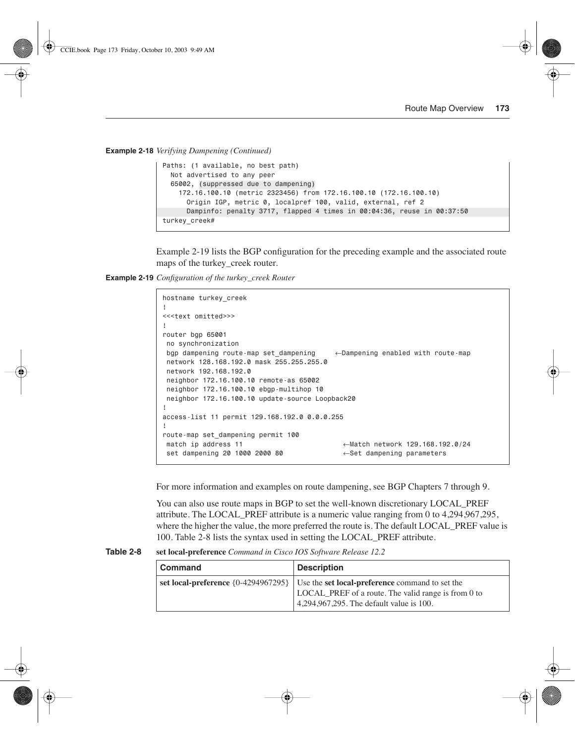**Example 2-18** *Verifying Dampening (Continued)*

```
Paths: (1 available, no best path)
  Not advertised to any peer
  65002, (suppressed due to dampening)
    172.16.100.10 (metric 2323456) from 172.16.100.10 (172.16.100.10)
       Origin IGP, metric 0, localpref 100, valid, external, ref 2
       Dampinfo: penalty 3717, flapped 4 times in 00:04:36, reuse in 00:37:50
turkey_creek#
```
Example 2-19 lists the BGP configuration for the preceding example and the associated route maps of the turkey creek router.

**Example 2-19** *Configuration of the turkey\_creek Router* 

```
hostname turkey_creek
!
<<<text omitted>>>
!
router bgp 65001
 no synchronization
 bgp dampening route-map set_dampening ←Dampening enabled with route-map
 network 128.168.192.0 mask 255.255.255.0
 network 192.168.192.0
 neighbor 172.16.100.10 remote-as 65002
 neighbor 172.16.100.10 ebgp-multihop 10
 neighbor 172.16.100.10 update-source Loopback20
!
access-list 11 permit 129.168.192.0 0.0.0.255
!
route-map set_dampening permit 100
 match ip address 11 ←Match network 129.168.192.0/24
  set dampening 20 1000 2000 80 ←Set dampening parameters
```
For more information and examples on route dampening, see BGP Chapters 7 through 9.

You can also use route maps in BGP to set the well-known discretionary LOCAL\_PREF attribute. The LOCAL\_PREF attribute is a numeric value ranging from 0 to 4,294,967,295, where the higher the value, the more preferred the route is. The default LOCAL PREF value is 100. Table 2-8 lists the syntax used in setting the LOCAL\_PREF attribute.

**Table 2-8 set local-preference** *Command in Cisco IOS Software Release 12.2*

| <b>Command</b> | <b>Description</b>                                                                                                                                                                         |  |
|----------------|--------------------------------------------------------------------------------------------------------------------------------------------------------------------------------------------|--|
|                | set local-preference $\{0-4294967295\}$ Use the set local-preference command to set the<br>LOCAL PREF of a route. The valid range is from 0 to<br>4,294,967,295. The default value is 100. |  |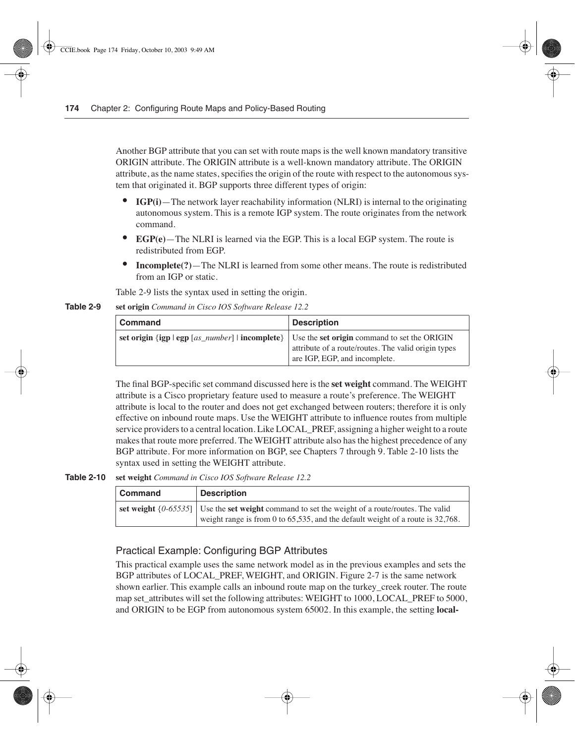Another BGP attribute that you can set with route maps is the well known mandatory transitive ORIGIN attribute. The ORIGIN attribute is a well-known mandatory attribute. The ORIGIN attribute, as the name states, specifies the origin of the route with respect to the autonomous system that originated it. BGP supports three different types of origin:

- **IGP(i)**—The network layer reachability information (NLRI) is internal to the originating autonomous system. This is a remote IGP system. The route originates from the network command.
- **EGP(e)**—The NLRI is learned via the EGP. This is a local EGP system. The route is redistributed from EGP.
- **Incomplete(?)**—The NLRI is learned from some other means. The route is redistributed from an IGP or static.

Table 2-9 lists the syntax used in setting the origin.

**Table 2-9 set origin** *Command in Cisco IOS Software Release 12.2*

| <b>Command</b>                                  | <b>Description</b>                                                                                                                   |
|-------------------------------------------------|--------------------------------------------------------------------------------------------------------------------------------------|
| set origin {igp   egp [as_number]   incomplete} | Use the set origin command to set the ORIGIN<br>attribute of a route/routes. The valid origin types<br>are IGP, EGP, and incomplete. |

The final BGP-specific set command discussed here is the **set weight** command. The WEIGHT attribute is a Cisco proprietary feature used to measure a route's preference. The WEIGHT attribute is local to the router and does not get exchanged between routers; therefore it is only effective on inbound route maps. Use the WEIGHT attribute to influence routes from multiple service providers to a central location. Like LOCAL\_PREF, assigning a higher weight to a route makes that route more preferred. The WEIGHT attribute also has the highest precedence of any BGP attribute. For more information on BGP, see Chapters 7 through 9. Table 2-10 lists the syntax used in setting the WEIGHT attribute.

#### **Table 2-10 set weight** *Command in Cisco IOS Software Release 12.2*

| <b>Command</b> | <b>Description</b>                                                                                                                                                                           |
|----------------|----------------------------------------------------------------------------------------------------------------------------------------------------------------------------------------------|
|                | set weight $\{0.65535\}$   Use the set weight command to set the weight of a route/routes. The valid<br>weight range is from 0 to $65,535$ , and the default weight of a route is $32,768$ . |

## Practical Example: Configuring BGP Attributes

This practical example uses the same network model as in the previous examples and sets the BGP attributes of LOCAL\_PREF, WEIGHT, and ORIGIN. Figure 2-7 is the same network shown earlier. This example calls an inbound route map on the turkey\_creek router. The route map set attributes will set the following attributes: WEIGHT to 1000, LOCAL PREF to 5000, and ORIGIN to be EGP from autonomous system 65002. In this example, the setting **local-**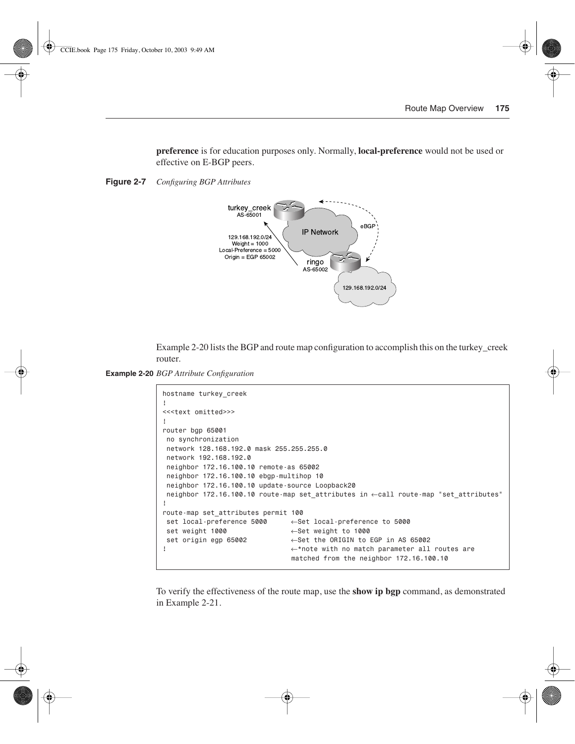**preference** is for education purposes only. Normally, **local-preference** would not be used or effective on E-BGP peers.

**Figure 2-7** *Configuring BGP Attributes*



Example 2-20 lists the BGP and route map configuration to accomplish this on the turkey creek router.

**Example 2-20** *BGP Attribute Configuration* 

```
hostname turkey_creek
!
<<<text omitted>>>
!
router bgp 65001
 no synchronization
 network 128.168.192.0 mask 255.255.255.0
 network 192.168.192.0
 neighbor 172.16.100.10 remote-as 65002
 neighbor 172.16.100.10 ebgp-multihop 10
 neighbor 172.16.100.10 update-source Loopback20
 neighbor 172.16.100.10 route-map set_attributes in ←call route-map "set_attributes"
!
route-map set_attributes permit 100
 set local-preference 5000 ←Set local-preference to 5000
 set weight 1000 ←Set weight to 1000
 set origin egp 65002 ←Set the ORIGIN to EGP in AS 65002
! ←*note with no match parameter all routes are 
                               matched from the neighbor 172.16.100.10
```
To verify the effectiveness of the route map, use the **show ip bgp** command, as demonstrated in Example 2-21.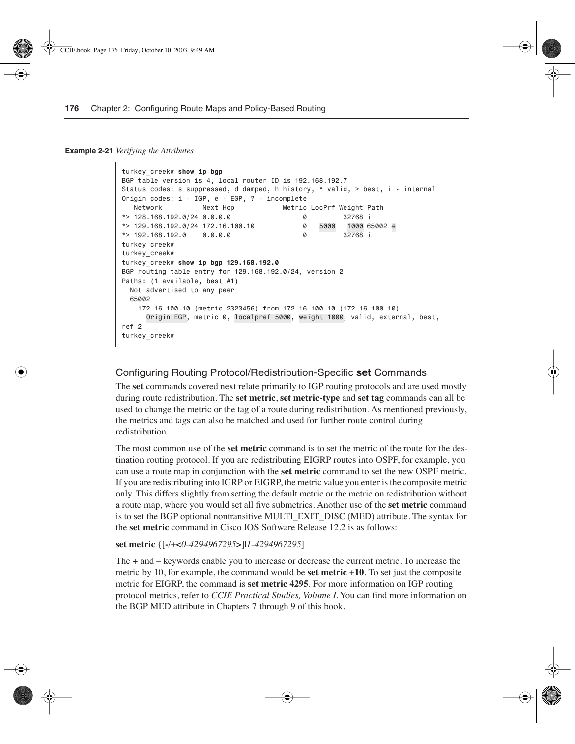**Example 2-21** *Verifying the Attributes* 

```
turkey_creek# show ip bgp
BGP table version is 4, local router ID is 192.168.192.7
Status codes: s suppressed, d damped, h history, * valid, > best, i - internal
Origin codes: i - IGP, e - EGP, ? - incomplete
 Network Next Hop Metric LocPrf Weight Path
*> 128.168.192.0/24 0.0.0.0 0 32768 i
*> 129.168.192.0/24 172.16.100.10 0 5000 1000 65002 e
*> 192.168.192.0 0.0.0.0 0 32768 i
turkey_creek#
turkey_creek#
turkey_creek# show ip bgp 129.168.192.0
BGP routing table entry for 129.168.192.0/24, version 2
Paths: (1 available, best #1)
  Not advertised to any peer
  65002
    172.16.100.10 (metric 2323456) from 172.16.100.10 (172.16.100.10)
 Origin EGP, metric 0, localpref 5000, weight 1000, valid, external, best,
EGP 5000 weight 1000
ref 2
turkey_creek#
                                       5000 1000 e
```
### Configuring Routing Protocol/Redistribution-Specific **set** Commands

The **set** commands covered next relate primarily to IGP routing protocols and are used mostly during route redistribution. The **set metric**, **set metric-type** and **set tag** commands can all be used to change the metric or the tag of a route during redistribution. As mentioned previously, the metrics and tags can also be matched and used for further route control during redistribution.

The most common use of the **set metric** command is to set the metric of the route for the destination routing protocol. If you are redistributing EIGRP routes into OSPF, for example, you can use a route map in conjunction with the **set metric** command to set the new OSPF metric. If you are redistributing into IGRP or EIGRP, the metric value you enter is the composite metric only. This differs slightly from setting the default metric or the metric on redistribution without a route map, where you would set all five submetrics. Another use of the **set metric** command is to set the BGP optional nontransitive MULTI\_EXIT\_DISC (MED) attribute. The syntax for the **set metric** command in Cisco IOS Software Release 12.2 is as follows:

```
set metric {[-/+<0-4294967295>]|1-4294967295]
```
The **+** and – keywords enable you to increase or decrease the current metric. To increase the metric by 10, for example, the command would be **set metric +10**. To set just the composite metric for EIGRP, the command is **set metric 4295**. For more information on IGP routing protocol metrics, refer to *CCIE Practical Studies, Volume I*. You can find more information on the BGP MED attribute in Chapters 7 through 9 of this book.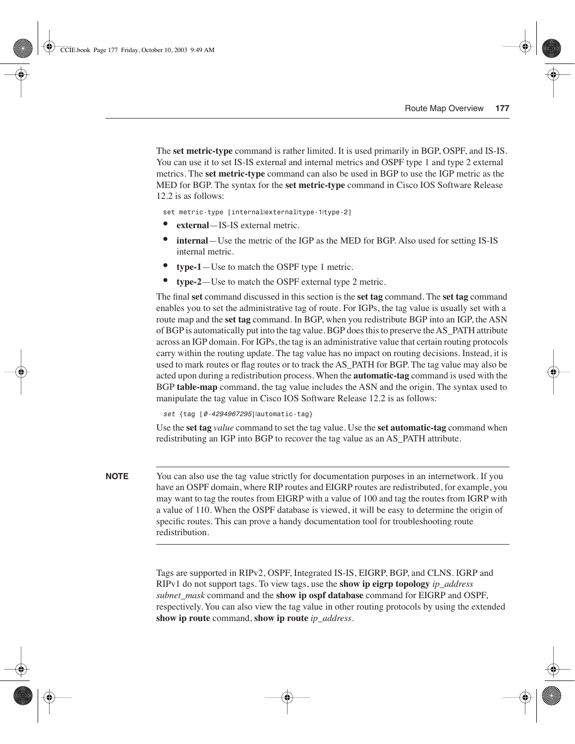The **set metric-type** command is rather limited. It is used primarily in BGP, OSPF, and IS-IS. You can use it to set IS-IS external and internal metrics and OSPF type 1 and type 2 external metrics. The **set metric-type** command can also be used in BGP to use the IGP metric as the MED for BGP. The syntax for the **set metric-type** command in Cisco IOS Software Release 12.2 is as follows:

*set metric-type [internal*|*external*|*type-1*|*type-2]*

- **external**—IS-IS external metric.
- **internal**—Use the metric of the IGP as the MED for BGP. Also used for setting IS-IS internal metric.
- **type-1**—Use to match the OSPF type 1 metric.
- **type-2**—Use to match the OSPF external type 2 metric.

The final **set** command discussed in this section is the **set tag** command. The **set tag** command enables you to set the administrative tag of route. For IGPs, the tag value is usually set with a route map and the **set tag** command. In BGP, when you redistribute BGP into an IGP, the ASN of BGP is automatically put into the tag value. BGP does this to preserve the AS\_PATH attribute across an IGP domain. For IGPs, the tag is an administrative value that certain routing protocols carry within the routing update. The tag value has no impact on routing decisions. Instead, it is used to mark routes or flag routes or to track the AS\_PATH for BGP. The tag value may also be acted upon during a redistribution process. When the **automatic-tag** command is used with the BGP **table-map** command, the tag value includes the ASN and the origin. The syntax used to manipulate the tag value in Cisco IOS Software Release 12.2 is as follows:

*set {tag [0-4294967295]*|*automatic-tag}*

Use the **set tag** *value* command to set the tag value. Use the **set automatic-tag** command when redistributing an IGP into BGP to recover the tag value as an AS\_PATH attribute.

**NOTE** You can also use the tag value strictly for documentation purposes in an internetwork. If you have an OSPF domain, where RIP routes and EIGRP routes are redistributed, for example, you may want to tag the routes from EIGRP with a value of 100 and tag the routes from IGRP with a value of 110. When the OSPF database is viewed, it will be easy to determine the origin of specific routes. This can prove a handy documentation tool for troubleshooting route redistribution.

> Tags are supported in RIPv2, OSPF, Integrated IS-IS, EIGRP, BGP, and CLNS. IGRP and RIPv1 do not support tags. To view tags, use the **show ip eigrp topology** *ip\_address subnet\_mask* command and the **show ip ospf database** command for EIGRP and OSPF, respectively. You can also view the tag value in other routing protocols by using the extended **show ip route** command, **show ip route** *ip\_address*.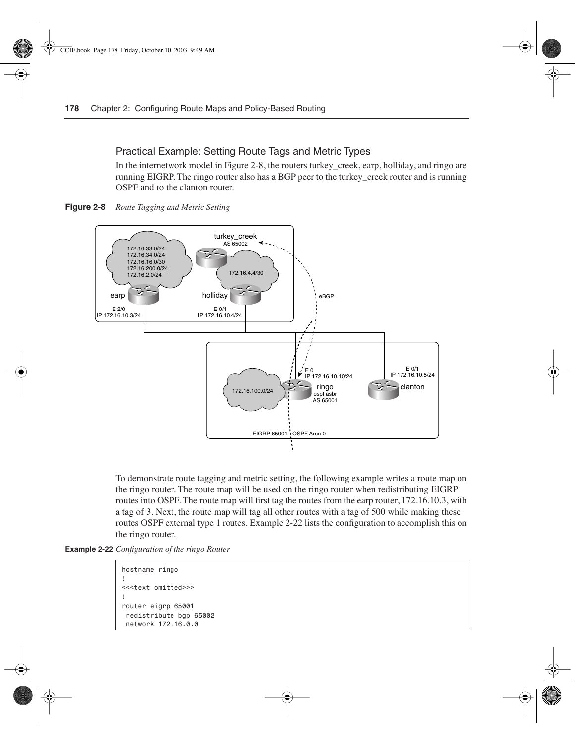#### Practical Example: Setting Route Tags and Metric Types

In the internetwork model in Figure 2-8, the routers turkey creek, earp, holliday, and ringo are running EIGRP. The ringo router also has a BGP peer to the turkey\_creek router and is running OSPF and to the clanton router.

**Figure 2-8** *Route Tagging and Metric Setting*



To demonstrate route tagging and metric setting, the following example writes a route map on the ringo router. The route map will be used on the ringo router when redistributing EIGRP routes into OSPF. The route map will first tag the routes from the earp router, 172.16.10.3, with a tag of 3. Next, the route map will tag all other routes with a tag of 500 while making these routes OSPF external type 1 routes. Example 2-22 lists the configuration to accomplish this on the ringo router.

```
Example 2-22 Configuration of the ringo Router
```

```
hostname ringo
!
<<<text omitted>>>
!
router eigrp 65001
 redistribute bgp 65002
  network 172.16.0.0
```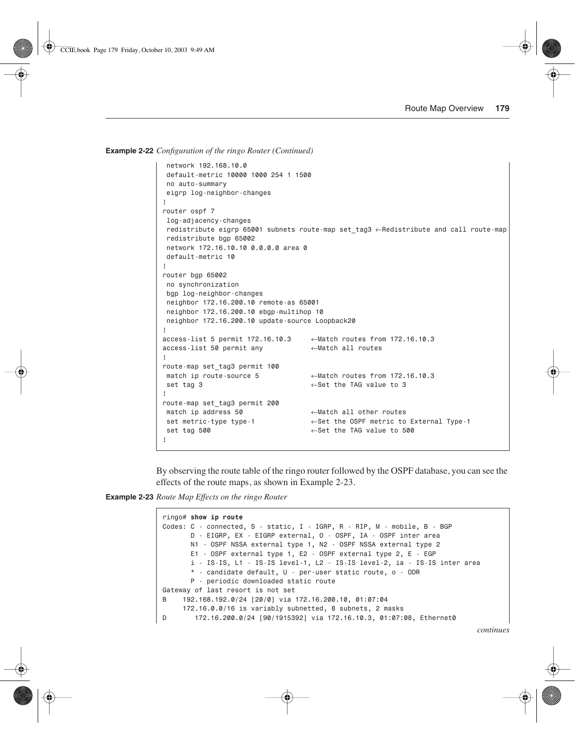**Example 2-22** *Configuration of the ringo Router (Continued)*

```
 network 192.168.10.0
  default-metric 10000 1000 254 1 1500
  no auto-summary
 eigrp log-neighbor-changes
!
router ospf 7
 log-adjacency-changes
 redistribute eigrp 65001 subnets route-map set_tag3 ←Redistribute and call route-map
 redistribute bgp 65002
 network 172.16.10.10 0.0.0.0 area 0
 default-metric 10
!
router bgp 65002
 no synchronization
 bgp log-neighbor-changes
 neighbor 172.16.200.10 remote-as 65001
 neighbor 172.16.200.10 ebgp-multihop 10
 neighbor 172.16.200.10 update-source Loopback20
!
access-list 5 permit 172.16.10.3 ←Match routes from 172.16.10.3
access-list 50 permit any ←Match all routes
!
route-map set_tag3 permit 100
 match ip route-source 5 ←Match routes from 172.16.10.3
 set tag 3 ←Set the TAG value to 3
!
route-map set_tag3 permit 200
 match ip address 50 ←Match all other routes 
 set metric-type type-1 ←Set the OSPF metric to External Type-1
 set tag 500 ←Set the TAG value to 500
!
```
By observing the route table of the ringo router followed by the OSPF database, you can see the effects of the route maps, as shown in Example 2-23.

**Example 2-23** *Route Map Effects on the ringo Router* 

```
ringo# show ip route
Codes: C - connected, S - static, I - IGRP, R - RIP, M - mobile, B - BGP
        D - EIGRP, EX - EIGRP external, O - OSPF, IA - OSPF inter area
        N1 - OSPF NSSA external type 1, N2 - OSPF NSSA external type 2
        E1 - OSPF external type 1, E2 - OSPF external type 2, E - EGP
        i - IS-IS, L1 - IS-IS level-1, L2 - IS-IS level-2, ia - IS-IS inter area
        * - candidate default, U - per-user static route, o - ODR
        P - periodic downloaded static route
Gateway of last resort is not set
B 192.168.192.0/24 [20/0] via 172.16.200.10, 01:07:04
      172.16.0.0/16 is variably subnetted, 8 subnets, 2 masks
D 172.16.200.0/24 [90/1915392] via 172.16.10.3, 01:07:08, Ethernet0
```
*continues*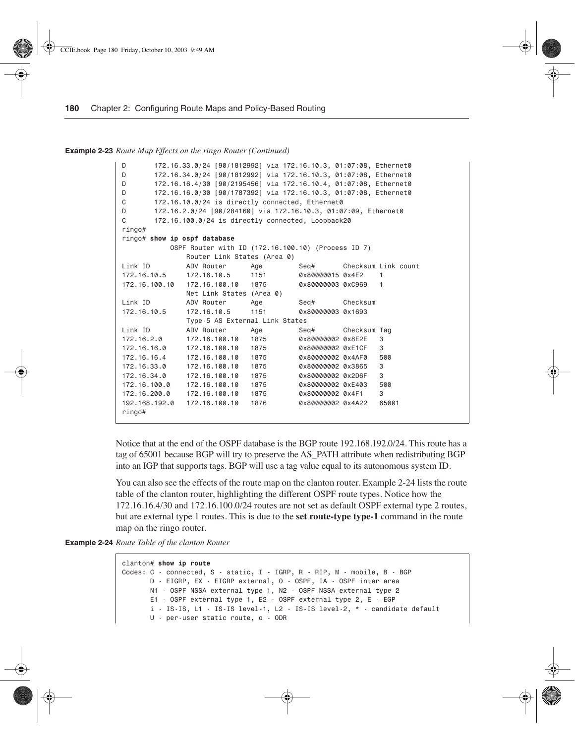**Example 2-23** *Route Map Effects on the ringo Router (Continued)*

```
D 172.16.33.0/24 [90/1812992] via 172.16.10.3, 01:07:08, Ethernet0
D 172.16.34.0/24 [90/1812992] via 172.16.10.3, 01:07:08, Ethernet0
D 172.16.16.4/30 [90/2195456] via 172.16.10.4, 01:07:08, Ethernet0
D 172.16.16.0/30 [90/1787392] via 172.16.10.3, 01:07:08, Ethernet0
C 172.16.10.0/24 is directly connected, Ethernet0
D 172.16.2.0/24 [90/284160] via 172.16.10.3, 01:07:09, Ethernet0
C 172.16.100.0/24 is directly connected, Loopback20
ringo#
ringo# show ip ospf database
           OSPF Router with ID (172.16.100.10) (Process ID 7)
              Router Link States (Area 0)
Link ID ADV Router Age Seq# Checksum Link count
172.16.10.5 172.16.10.5 1151 0x80000015 0x4E2 1
172.16.100.10 172.16.100.10 1875 0x80000003 0xC969 1
              Net Link States (Area 0)
Link ID ADV Router Age Seq# Checksum
172.16.10.5 172.16.10.5 1151 0x80000003 0x1693
             Type-5 AS External Link States
Link ID ADV Router Age Seq# Checksum Tag
172.16.2.0 172.16.100.10 1875 0x80000002 0x8E2E 3
172.16.16.0 172.16.100.10 1875 0x80000002 0xE1CF 3
172.16.16.4 172.16.100.10 1875 0x80000002 0x4AF0 500
172.16.33.0 172.16.100.10 1875 0x80000002 0x3865 3
172.16.34.0 172.16.100.10 1875 0x80000002 0x2D6F 3
172.16.100.0 172.16.100.10 1875 0x80000002 0xE403 500
172.16.200.0 172.16.100.10 1875 0x80000002 0x4F1 3
192.168.192.0 172.16.100.10 1876 0x80000002 0x4A22 65001
ringo#
```
Notice that at the end of the OSPF database is the BGP route 192.168.192.0/24. This route has a tag of 65001 because BGP will try to preserve the AS\_PATH attribute when redistributing BGP into an IGP that supports tags. BGP will use a tag value equal to its autonomous system ID.

You can also see the effects of the route map on the clanton router. Example 2-24 lists the route table of the clanton router, highlighting the different OSPF route types. Notice how the 172.16.16.4/30 and 172.16.100.0/24 routes are not set as default OSPF external type 2 routes, but are external type 1 routes. This is due to the **set route-type type-1** command in the route map on the ringo router.

**Example 2-24** *Route Table of the clanton Router* 

```
clanton# show ip route
Codes: C - connected, S - static, I - IGRP, R - RIP, M - mobile, B - BGP
       D - EIGRP, EX - EIGRP external, O - OSPF, IA - OSPF inter area
       N1 - OSPF NSSA external type 1, N2 - OSPF NSSA external type 2
       E1 - OSPF external type 1, E2 - OSPF external type 2, E - EGP
        i - IS-IS, L1 - IS-IS level-1, L2 - IS-IS level-2, * - candidate default
       U - per-user static route, o - ODR
```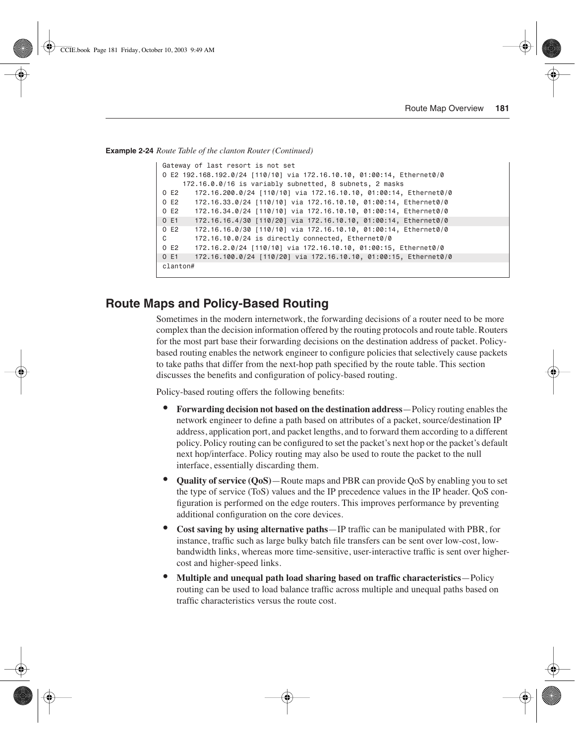**Example 2-24** *Route Table of the clanton Router (Continued)*

| Gateway of last resort is not set                                        |  |  |
|--------------------------------------------------------------------------|--|--|
| 0 E2 192.168.192.0/24 [110/10] via 172.16.10.10, 01:00:14, Ethernet0/0   |  |  |
| 172.16.0.0/16 is variably subnetted, 8 subnets, 2 masks                  |  |  |
| 0 E2<br>172.16.200.0/24 [110/10] via 172.16.10.10, 01:00:14, Ethernet0/0 |  |  |
| 0 E2<br>172.16.33.0/24 [110/10] via 172.16.10.10, 01:00:14, Ethernet0/0  |  |  |
| 0 E2<br>172.16.34.0/24 [110/10] via 172.16.10.10, 01:00:14, Ethernet0/0  |  |  |
| 0 E1<br>172.16.16.4/30 [110/20] via 172.16.10.10, 01:00:14, Ethernet0/0  |  |  |
| 0 E2<br>172.16.16.0/30 [110/10] via 172.16.10.10, 01:00:14, Ethernet0/0  |  |  |
| C.<br>172.16.10.0/24 is directly connected, Ethernet0/0                  |  |  |
| 0E2<br>172.16.2.0/24 [110/10] via 172.16.10.10, 01:00:15, Ethernet0/0    |  |  |
| 0 E1<br>172.16.100.0/24 [110/20] via 172.16.10.10, 01:00:15, Ethernet0/0 |  |  |
| clanton#                                                                 |  |  |
|                                                                          |  |  |

## **Route Maps and Policy-Based Routing**

Sometimes in the modern internetwork, the forwarding decisions of a router need to be more complex than the decision information offered by the routing protocols and route table. Routers for the most part base their forwarding decisions on the destination address of packet. Policybased routing enables the network engineer to configure policies that selectively cause packets to take paths that differ from the next-hop path specified by the route table. This section discusses the benefits and configuration of policy-based routing.

Policy-based routing offers the following benefits:

- **Forwarding decision not based on the destination address**—Policy routing enables the network engineer to define a path based on attributes of a packet, source/destination IP address, application port, and packet lengths, and to forward them according to a different policy. Policy routing can be configured to set the packet's next hop or the packet's default next hop/interface. Policy routing may also be used to route the packet to the null interface, essentially discarding them.
- **Quality of service (QoS)**—Route maps and PBR can provide QoS by enabling you to set the type of service (ToS) values and the IP precedence values in the IP header. QoS configuration is performed on the edge routers. This improves performance by preventing additional configuration on the core devices.
- **Cost saving by using alternative paths**—IP traffic can be manipulated with PBR, for instance, traffic such as large bulky batch file transfers can be sent over low-cost, lowbandwidth links, whereas more time-sensitive, user-interactive traffic is sent over highercost and higher-speed links.
- **Multiple and unequal path load sharing based on traffic characteristics**—Policy routing can be used to load balance traffic across multiple and unequal paths based on traffic characteristics versus the route cost.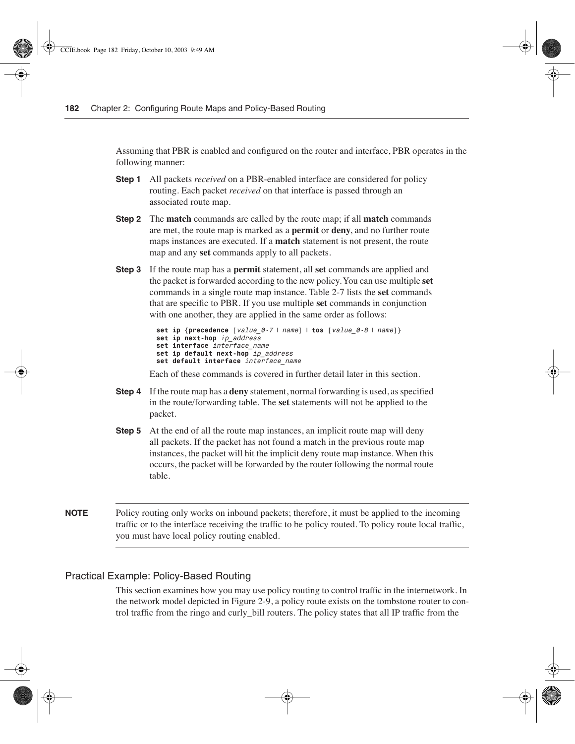Assuming that PBR is enabled and configured on the router and interface, PBR operates in the following manner:

- **Step 1** All packets *received* on a PBR-enabled interface are considered for policy routing. Each packet *received* on that interface is passed through an associated route map.
- **Step 2** The **match** commands are called by the route map; if all **match** commands are met, the route map is marked as a **permit** or **deny**, and no further route maps instances are executed. If a **match** statement is not present, the route map and any **set** commands apply to all packets.
- **Step 3** If the route map has a **permit** statement, all **set** commands are applied and the packet is forwarded according to the new policy. You can use multiple **set** commands in a single route map instance. Table 2-7 lists the **set** commands that are specific to PBR. If you use multiple **set** commands in conjunction with one another, they are applied in the same order as follows:

```
set ip {precedence [value_0-7 | name] | tos [value_0-8 | name]}
set ip next-hop ip_address
set interface interface_name
set ip default next-hop ip_address
set default interface interface_name
```
Each of these commands is covered in further detail later in this section.

- **Step 4** If the route map has a **deny** statement, normal forwarding is used, as specified in the route/forwarding table. The **set** statements will not be applied to the packet.
- **Step 5** At the end of all the route map instances, an implicit route map will deny all packets. If the packet has not found a match in the previous route map instances, the packet will hit the implicit deny route map instance. When this occurs, the packet will be forwarded by the router following the normal route table.
- **NOTE** Policy routing only works on inbound packets; therefore, it must be applied to the incoming traffic or to the interface receiving the traffic to be policy routed. To policy route local traffic, you must have local policy routing enabled.

### Practical Example: Policy-Based Routing

This section examines how you may use policy routing to control traffic in the internetwork. In the network model depicted in Figure 2-9, a policy route exists on the tombstone router to control traffic from the ringo and curly\_bill routers. The policy states that all IP traffic from the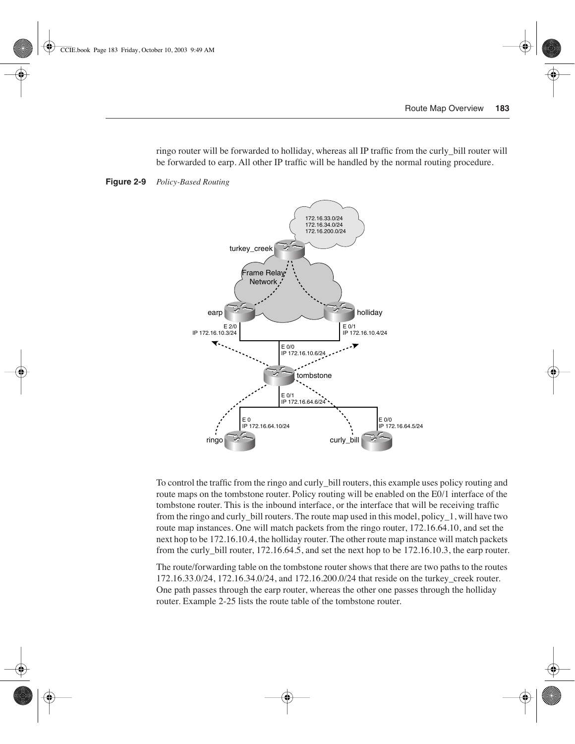ringo router will be forwarded to holliday, whereas all IP traffic from the curly\_bill router will be forwarded to earp. All other IP traffic will be handled by the normal routing procedure.



**Figure 2-9** *Policy-Based Routing*

To control the traffic from the ringo and curly\_bill routers, this example uses policy routing and route maps on the tombstone router. Policy routing will be enabled on the E0/1 interface of the tombstone router. This is the inbound interface, or the interface that will be receiving traffic from the ringo and curly\_bill routers. The route map used in this model, policy\_1, will have two route map instances. One will match packets from the ringo router, 172.16.64.10, and set the next hop to be 172.16.10.4, the holliday router. The other route map instance will match packets from the curly bill router,  $172.16.64.5$ , and set the next hop to be  $172.16.10.3$ , the earp router.

The route/forwarding table on the tombstone router shows that there are two paths to the routes 172.16.33.0/24, 172.16.34.0/24, and 172.16.200.0/24 that reside on the turkey\_creek router. One path passes through the earp router, whereas the other one passes through the holliday router. Example 2-25 lists the route table of the tombstone router.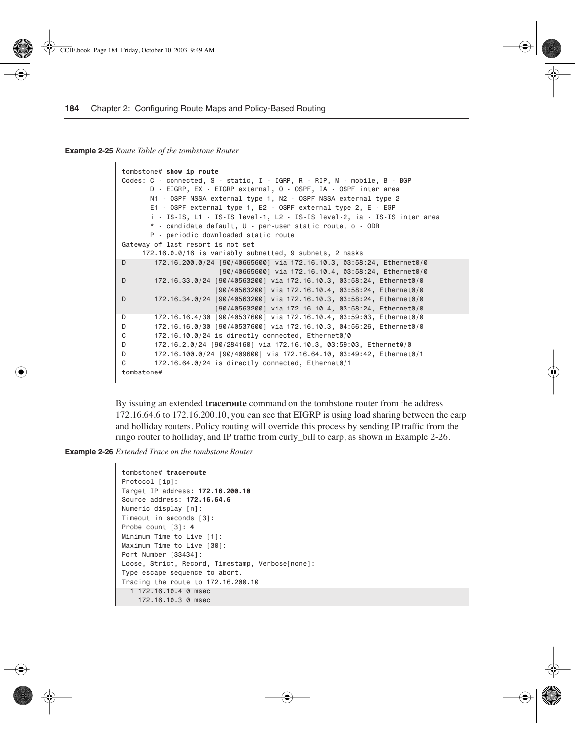**Example 2-25** *Route Table of the tombstone Router* 

```
tombstone# show ip route
Codes: C - connected, S - static, I - IGRP, R - RIP, M - mobile, B - BGP
       D - EIGRP, EX - EIGRP external, O - OSPF, IA - OSPF inter area
       N1 - OSPF NSSA external type 1, N2 - OSPF NSSA external type 2
       E1 - OSPF external type 1, E2 - OSPF external type 2, E - EGP
       i - IS-IS, L1 - IS-IS level-1, L2 - IS-IS level-2, ia - IS-IS inter area
       * - candidate default, U - per-user static route, o - ODR
       P - periodic downloaded static route
Gateway of last resort is not set
     172.16.0.0/16 is variably subnetted, 9 subnets, 2 masks
D 172.16.200.0/24 [90/40665600] via 172.16.10.3, 03:58:24, Ethernet0/0
                        [90/40665600] via 172.16.10.4, 03:58:24, Ethernet0/0
D 172.16.33.0/24 [90/40563200] via 172.16.10.3, 03:58:24, Ethernet0/0
                       [90/40563200] via 172.16.10.4, 03:58:24, Ethernet0/0
D 172.16.34.0/24 [90/40563200] via 172.16.10.3, 03:58:24, Ethernet0/0
                       [90/40563200] via 172.16.10.4, 03:58:24, Ethernet0/0
D 172.16.16.4/30 [90/40537600] via 172.16.10.4, 03:59:03, Ethernet0/0
D 172.16.16.0/30 [90/40537600] via 172.16.10.3, 04:56:26, Ethernet0/0
C 172.16.10.0/24 is directly connected, Ethernet0/0
D 172.16.2.0/24 [90/284160] via 172.16.10.3, 03:59:03, Ethernet0/0
D 172.16.100.0/24 [90/409600] via 172.16.64.10, 03:49:42, Ethernet0/1
C 172.16.64.0/24 is directly connected, Ethernet0/1
tombstone#
```
By issuing an extended **traceroute** command on the tombstone router from the address 172.16.64.6 to 172.16.200.10, you can see that EIGRP is using load sharing between the earp and holliday routers. Policy routing will override this process by sending IP traffic from the ringo router to holliday, and IP traffic from curly\_bill to earp, as shown in Example 2-26.

**Example 2-26** *Extended Trace on the tombstone Router* 

```
tombstone# traceroute
Protocol [ip]:
Target IP address: 172.16.200.10
Source address: 172.16.64.6
Numeric display [n]:
Timeout in seconds [3]:
Probe count [3]: 4
Minimum Time to Live [1]:
Maximum Time to Live [30]:
Port Number [33434]:
Loose, Strict, Record, Timestamp, Verbose[none]:
Type escape sequence to abort.
Tracing the route to 172.16.200.10
   1 172.16.10.4 0 msec
     172.16.10.3 0 msec
```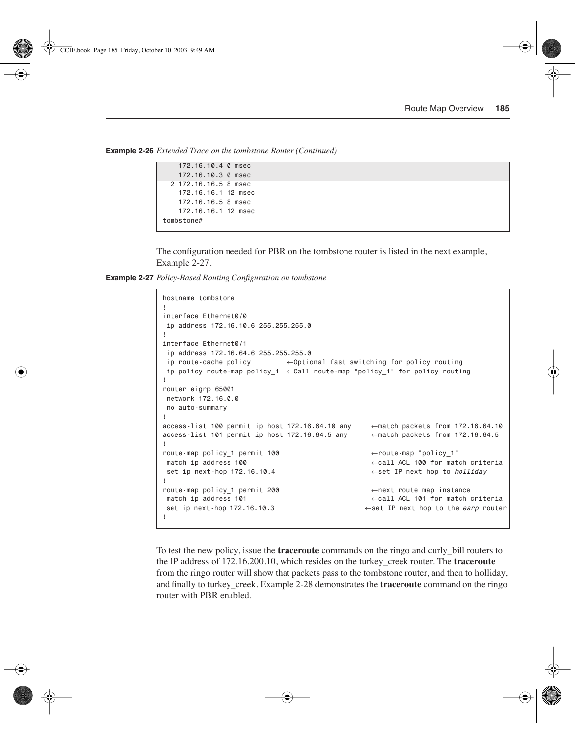**Example 2-26** *Extended Trace on the tombstone Router (Continued)*

```
 172.16.10.4 0 msec
     172.16.10.3 0 msec
   2 172.16.16.5 8 msec
    172.16.16.1 12 msec
     172.16.16.5 8 msec
    172.16.16.1 12 msec
tombstone#
```
The configuration needed for PBR on the tombstone router is listed in the next example, Example 2-27.

**Example 2-27** *Policy-Based Routing Configuration on tombstone* 

```
hostname tombstone
!
interface Ethernet0/0
  ip address 172.16.10.6 255.255.255.0
!
interface Ethernet0/1
 ip address 172.16.64.6 255.255.255.0
 ip route-cache policy ←Optional fast switching for policy routing
 ip policy route-map policy_1 ←Call route-map "policy_1" for policy routing
!
router eigrp 65001
 network 172.16.0.0
 no auto-summary
!
access-list 100 permit ip host 172.16.64.10 any ←match packets from 172.16.64.10
access-list 101 permit ip host 172.16.64.5 any ←match packets from 172.16.64.5
!
route-map policy_1 permit 100 ←route-map "policy_1"
 match ip address 100 ←call ACL 100 for match criteria
 set ip next-hop 172.16.10.4 ←set IP next hop to holliday
!
route-map policy_1 permit 200 ←next route map instance
 match ip address 101 ←call ACL 101 for match criteria
 set ip next-hop 172.16.10.3 ←set IP next hop to the earp router
!
```
To test the new policy, issue the **traceroute** commands on the ringo and curly\_bill routers to the IP address of 172.16.200.10, which resides on the turkey\_creek router. The **traceroute**  from the ringo router will show that packets pass to the tombstone router, and then to holliday, and finally to turkey\_creek. Example 2-28 demonstrates the **traceroute** command on the ringo router with PBR enabled.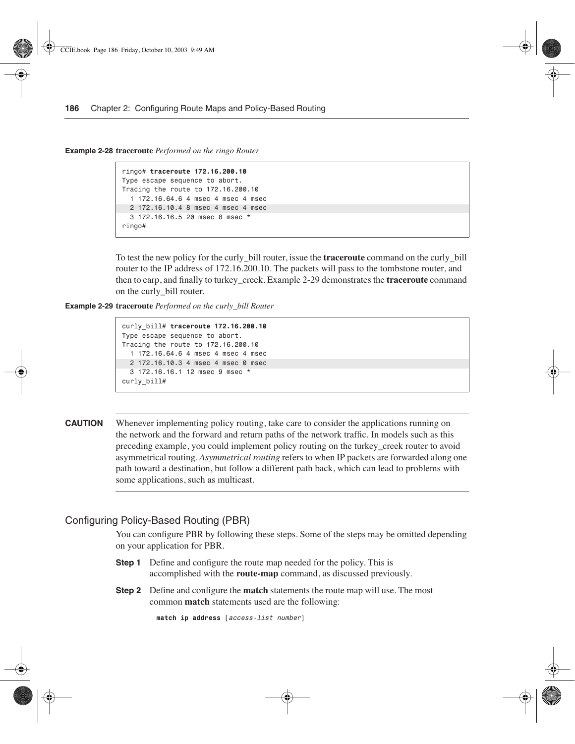**Example 2-28 traceroute** *Performed on the ringo Router* 

```
ringo# traceroute 172.16.200.10
Type escape sequence to abort.
Tracing the route to 172.16.200.10
  1 172.16.64.6 4 msec 4 msec 4 msec
  2 172.16.10.4 8 msec 4 msec 4 msec
  3 172.16.16.5 20 msec 8 msec *
ringo#
```
To test the new policy for the curly\_bill router, issue the **traceroute** command on the curly\_bill router to the IP address of 172.16.200.10. The packets will pass to the tombstone router, and then to earp, and finally to turkey\_creek. Example 2-29 demonstrates the **traceroute** command on the curly\_bill router.

**Example 2-29 traceroute** *Performed on the curly\_bill Router* 

```
curly_bill# traceroute 172.16.200.10
Type escape sequence to abort.
Tracing the route to 172.16.200.10
  1 172.16.64.6 4 msec 4 msec 4 msec
  2 172.16.10.3 4 msec 4 msec 0 msec
   3 172.16.16.1 12 msec 9 msec *
curly_bill#
```
**CAUTION** Whenever implementing policy routing, take care to consider the applications running on the network and the forward and return paths of the network traffic. In models such as this preceding example, you could implement policy routing on the turkey\_creek router to avoid asymmetrical routing. *Asymmetrical routing* refers to when IP packets are forwarded along one path toward a destination, but follow a different path back, which can lead to problems with some applications, such as multicast.

#### Configuring Policy-Based Routing (PBR)

You can configure PBR by following these steps. Some of the steps may be omitted depending on your application for PBR.

- **Step 1** Define and configure the route map needed for the policy. This is accomplished with the **route-map** command, as discussed previously.
- **Step 2** Define and configure the **match** statements the route map will use. The most common **match** statements used are the following:

```
match ip address [access-list number]
```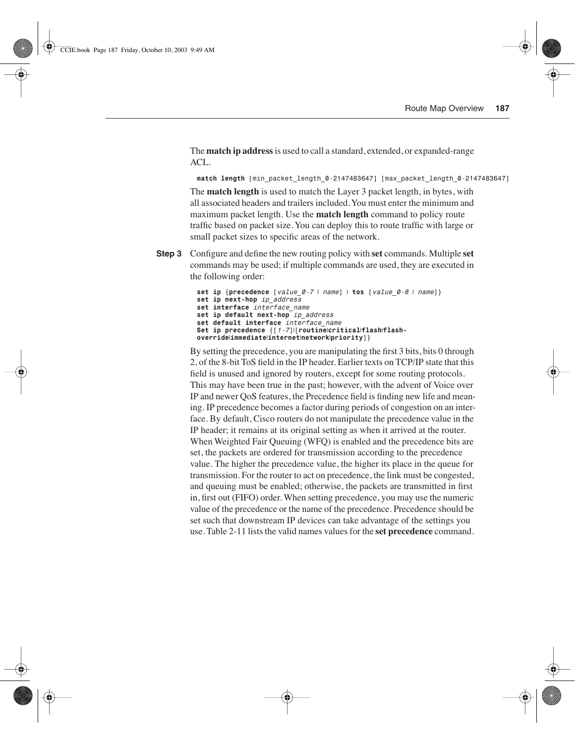The **match ip address** is used to call a standard, extended, or expanded-range ACL.

*match length [min\_packet\_length\_0-2147483647] [max\_packet\_length\_0-2147483647]*

The **match length** is used to match the Layer 3 packet length, in bytes, with all associated headers and trailers included. You must enter the minimum and maximum packet length. Use the **match length** command to policy route traffic based on packet size. You can deploy this to route traffic with large or small packet sizes to specific areas of the network.

**Step 3** Configure and define the new routing policy with **set** commands. Multiple **set** commands may be used; if multiple commands are used, they are executed in the following order:

```
set ip {precedence [value_0-7 | name] | tos [value_0-8 | name]}
set ip next-hop ip_address
set interface interface_name
set ip default next-hop ip_address
set default interface interface_name
Set ip precedence {[1-7]|[routine|critical|flash|flash-
override|immediate|internet|network|priority]}
```
By setting the precedence, you are manipulating the first 3 bits, bits 0 through 2, of the 8-bit ToS field in the IP header. Earlier texts on TCP/IP state that this field is unused and ignored by routers, except for some routing protocols. This may have been true in the past; however, with the advent of Voice over IP and newer QoS features, the Precedence field is finding new life and meaning. IP precedence becomes a factor during periods of congestion on an interface. By default, Cisco routers do not manipulate the precedence value in the IP header; it remains at its original setting as when it arrived at the router. When Weighted Fair Queuing (WFQ) is enabled and the precedence bits are set, the packets are ordered for transmission according to the precedence value. The higher the precedence value, the higher its place in the queue for transmission. For the router to act on precedence, the link must be congested, and queuing must be enabled; otherwise, the packets are transmitted in first in, first out (FIFO) order. When setting precedence, you may use the numeric value of the precedence or the name of the precedence. Precedence should be set such that downstream IP devices can take advantage of the settings you use. Table 2-11 lists the valid names values for the **set precedence** command.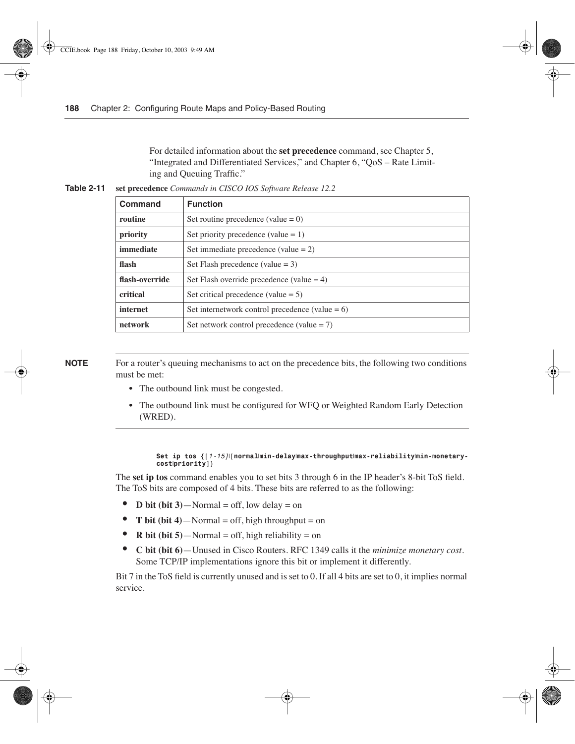For detailed information about the **set precedence** command, see Chapter 5, "Integrated and Differentiated Services," and Chapter 6, "QoS – Rate Limiting and Queuing Traffic."

| Table 2-11 | set precedence Commands in CISCO IOS Software Release 12.2 |  |  |
|------------|------------------------------------------------------------|--|--|
|------------|------------------------------------------------------------|--|--|

| Command        | <b>Function</b>                                    |
|----------------|----------------------------------------------------|
| routine        | Set routine precedence (value $= 0$ )              |
| priority       | Set priority precedence (value $= 1$ )             |
| immediate      | Set immediate precedence (value $= 2$ )            |
| flash          | Set Flash precedence (value $= 3$ )                |
| flash-override | Set Flash override precedence (value $=$ 4)        |
| critical       | Set critical precedence (value $= 5$ )             |
| internet       | Set internetwork control precedence (value $= 6$ ) |
| network        | Set network control precedence (value $= 7$ )      |

**NOTE** For a router's queuing mechanisms to act on the precedence bits, the following two conditions must be met:

- The outbound link must be congested.
- **•** The outbound link must be configured for WFQ or Weighted Random Early Detection (WRED).

#### *Set ip tos {[1-15]*|*[normal*|*min-delay*|*max-throughput*|*max-reliability*|*min-monetarycost*|*priority]}*

The **set ip tos** command enables you to set bits 3 through 6 in the IP header's 8-bit ToS field. The ToS bits are composed of 4 bits. These bits are referred to as the following:

- **D bit (bit 3)**—Normal = off, low delay = on
- **T bit (bit 4)**—Normal = off, high throughput = on
- **R bit (bit 5)**—Normal = off, high reliability = on
- **C bit (bit 6)**—Unused in Cisco Routers. RFC 1349 calls it the *minimize monetary cost*. Some TCP/IP implementations ignore this bit or implement it differently.

Bit 7 in the ToS field is currently unused and is set to 0. If all 4 bits are set to 0, it implies normal service.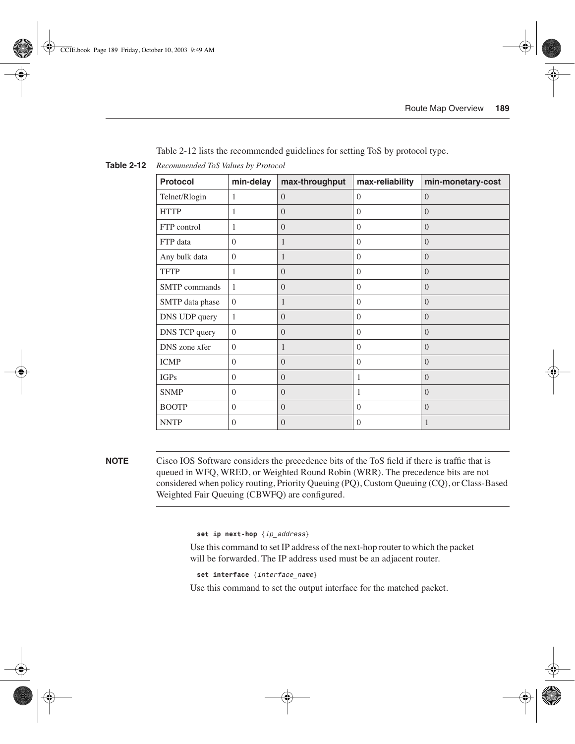| <b>Protocol</b>      | min-delay      | max-throughput | max-reliability | min-monetary-cost |
|----------------------|----------------|----------------|-----------------|-------------------|
| Telnet/Rlogin        | 1              | $\Omega$       | $\Omega$        | $\Omega$          |
| <b>HTTP</b>          | 1              | $\overline{0}$ | $\Omega$        | $\Omega$          |
| FTP control          | 1              | $\Omega$       | $\Omega$        | $\Omega$          |
| FTP data             | $\Omega$       | 1              | $\Omega$        | $\Omega$          |
| Any bulk data        | $\Omega$       | 1              | $\Omega$        | $\Omega$          |
| <b>TFTP</b>          | $\mathbf{1}$   | $\overline{0}$ | $\Omega$        | $\Omega$          |
| <b>SMTP</b> commands | 1              | $\Omega$       | $\Omega$        | $\Omega$          |
| SMTP data phase      | $\overline{0}$ | 1              | $\Omega$        | $\Omega$          |
| DNS UDP query        | 1              | $\overline{0}$ | $\Omega$        | $\Omega$          |
| DNS TCP query        | $\Omega$       | $\Omega$       | $\Omega$        | $\Omega$          |
| DNS zone xfer        | $\Omega$       | 1              | $\Omega$        | $\Omega$          |
| <b>ICMP</b>          | $\Omega$       | $\Omega$       | $\Omega$        | $\Omega$          |
| <b>IGPs</b>          | $\Omega$       | $\Omega$       | 1               | $\Omega$          |
| <b>SNMP</b>          | $\overline{0}$ | $\overline{0}$ | 1               | $\Omega$          |
| <b>BOOTP</b>         | $\theta$       | $\overline{0}$ | $\mathbf{0}$    | $\Omega$          |
| <b>NNTP</b>          | $\Omega$       | $\Omega$       | $\Omega$        | $\mathbf{1}$      |

Table 2-12 lists the recommended guidelines for setting ToS by protocol type.

**Table 2-12** *Recommended ToS Values by Protocol*

**NOTE** Cisco IOS Software considers the precedence bits of the ToS field if there is traffic that is queued in WFQ, WRED, or Weighted Round Robin (WRR). The precedence bits are not considered when policy routing, Priority Queuing (PQ), Custom Queuing (CQ), or Class-Based Weighted Fair Queuing (CBWFQ) are configured.

*set ip next-hop {ip\_address}*

Use this command to set IP address of the next-hop router to which the packet will be forwarded. The IP address used must be an adjacent router.

```
set interface {interface_name}
```
Use this command to set the output interface for the matched packet.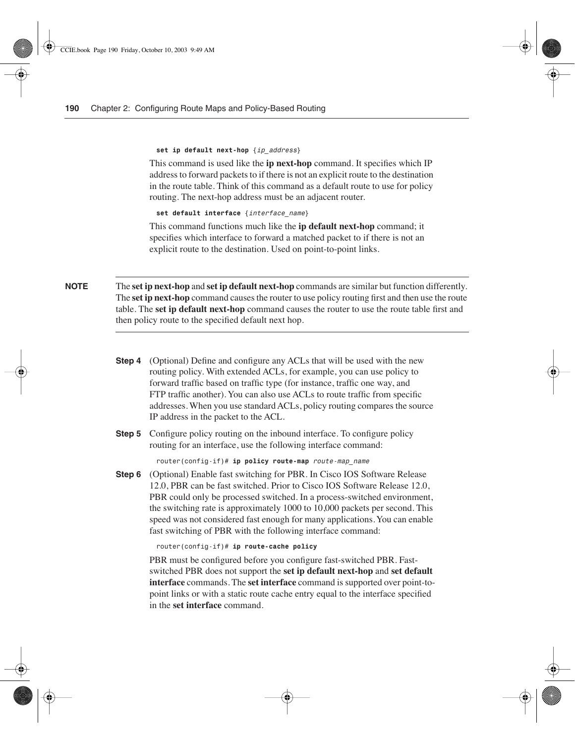#### *set ip default next-hop {ip\_address}*

This command is used like the **ip next-hop** command. It specifies which IP address to forward packets to if there is not an explicit route to the destination in the route table. Think of this command as a default route to use for policy routing. The next-hop address must be an adjacent router.

*set default interface {interface\_name}*

This command functions much like the **ip default next-hop** command; it specifies which interface to forward a matched packet to if there is not an explicit route to the destination. Used on point-to-point links.

**NOTE** The **set ip next-hop** and **set ip default next-hop** commands are similar but function differently. The **set ip next-hop** command causes the router to use policy routing first and then use the route table. The **set ip default next-hop** command causes the router to use the route table first and then policy route to the specified default next hop.

- **Step 4** (Optional) Define and configure any ACLs that will be used with the new routing policy. With extended ACLs, for example, you can use policy to forward traffic based on traffic type (for instance, traffic one way, and FTP traffic another). You can also use ACLs to route traffic from specific addresses. When you use standard ACLs, policy routing compares the source IP address in the packet to the ACL.
- **Step 5** Configure policy routing on the inbound interface. To configure policy routing for an interface, use the following interface command:

*router(config-if)# ip policy route-map route-map\_name*

**Step 6** (Optional) Enable fast switching for PBR. In Cisco IOS Software Release 12.0, PBR can be fast switched. Prior to Cisco IOS Software Release 12.0, PBR could only be processed switched. In a process-switched environment, the switching rate is approximately 1000 to 10,000 packets per second. This speed was not considered fast enough for many applications. You can enable fast switching of PBR with the following interface command:

*router(config-if)# ip route-cache policy*

PBR must be configured before you configure fast-switched PBR. Fastswitched PBR does not support the **set ip default next-hop** and **set default interface** commands. The **set interface** command is supported over point-topoint links or with a static route cache entry equal to the interface specified in the **set interface** command.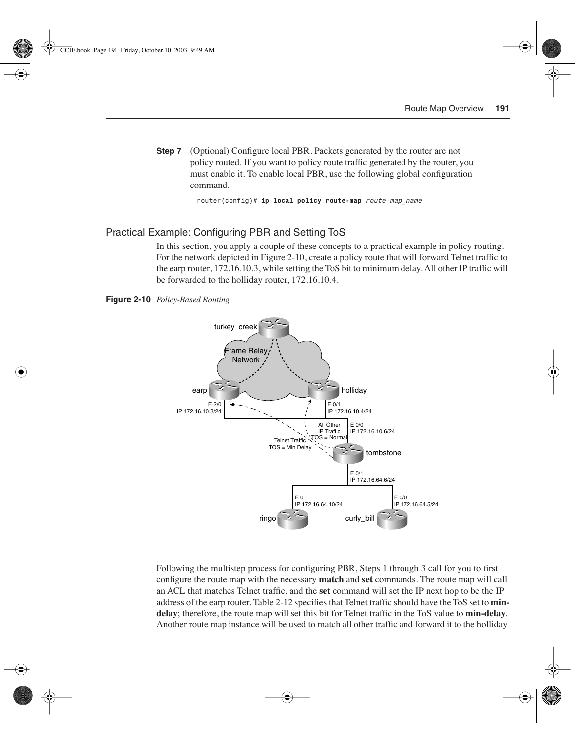**Step 7** (Optional) Configure local PBR. Packets generated by the router are not policy routed. If you want to policy route traffic generated by the router, you must enable it. To enable local PBR, use the following global configuration command.

*router(config)# ip local policy route-map route-map\_name*

#### Practical Example: Configuring PBR and Setting ToS

In this section, you apply a couple of these concepts to a practical example in policy routing. For the network depicted in Figure 2-10, create a policy route that will forward Telnet traffic to the earp router, 172.16.10.3, while setting the ToS bit to minimum delay. All other IP traffic will be forwarded to the holliday router, 172.16.10.4.

**Figure 2-10** *Policy-Based Routing*



Following the multistep process for configuring PBR, Steps 1 through 3 call for you to first configure the route map with the necessary **match** and **set** commands. The route map will call an ACL that matches Telnet traffic, and the **set** command will set the IP next hop to be the IP address of the earp router. Table 2-12 specifies that Telnet traffic should have the ToS set to **mindelay**; therefore, the route map will set this bit for Telnet traffic in the ToS value to **min-delay**. Another route map instance will be used to match all other traffic and forward it to the holliday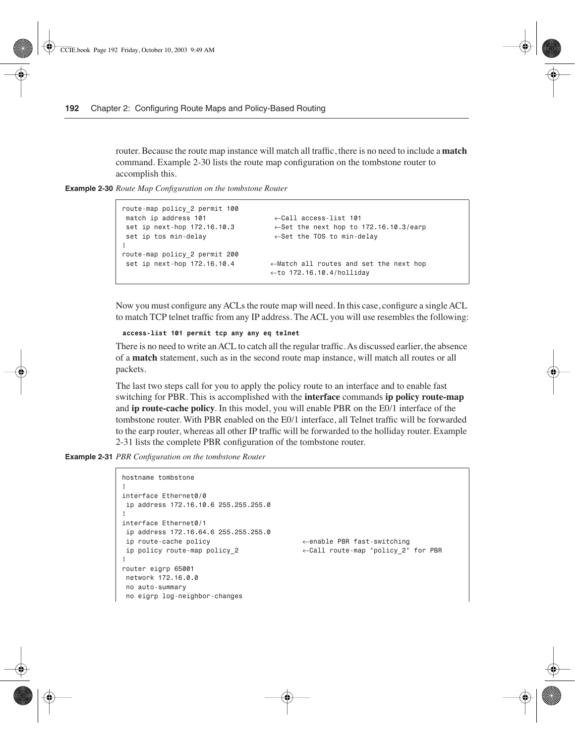router. Because the route map instance will match all traffic, there is no need to include a **match** command. Example 2-30 lists the route map configuration on the tombstone router to accomplish this.

**Example 2-30** *Route Map Configuration on the tombstone Router* 

```
route-map policy_2 permit 100
 match ip address 101 ←Call access-list 101 
 set ip next-hop 172.16.10.3 ←Set the next hop to 172.16.10.3/earp
 set ip tos min-delay ←Set the TOS to min-delay
!
route-map policy_2 permit 200
 set ip next-hop 172.16.10.4 ←Match all routes and set the next hop
                                 ←to 172.16.10.4/holliday
```
Now you must configure any ACLs the route map will need. In this case, configure a single ACL to match TCP telnet traffic from any IP address. The ACL you will use resembles the following:

*access-list 101 permit tcp any any eq telnet*

There is no need to write an ACL to catch all the regular traffic. As discussed earlier, the absence of a **match** statement, such as in the second route map instance, will match all routes or all packets.

The last two steps call for you to apply the policy route to an interface and to enable fast switching for PBR. This is accomplished with the **interface** commands **ip policy route-map** and **ip route-cache policy**. In this model, you will enable PBR on the E0/1 interface of the tombstone router. With PBR enabled on the E0/1 interface, all Telnet traffic will be forwarded to the earp router, whereas all other IP traffic will be forwarded to the holliday router. Example 2-31 lists the complete PBR configuration of the tombstone router.

**Example 2-31** *PBR Configuration on the tombstone Router* 

```
hostname tombstone
```

```
!
interface Ethernet0/0
 ip address 172.16.10.6 255.255.255.0
!
interface Ethernet0/1
 ip address 172.16.64.6 255.255.255.0
 ip route-cache policy ←enable PBR fast-switching
 ip policy route-map policy_2 ←Call route-map "policy_2" for PBR
!
router eigrp 65001
 network 172.16.0.0
 no auto-summary
 no eigrp log-neighbor-changes
```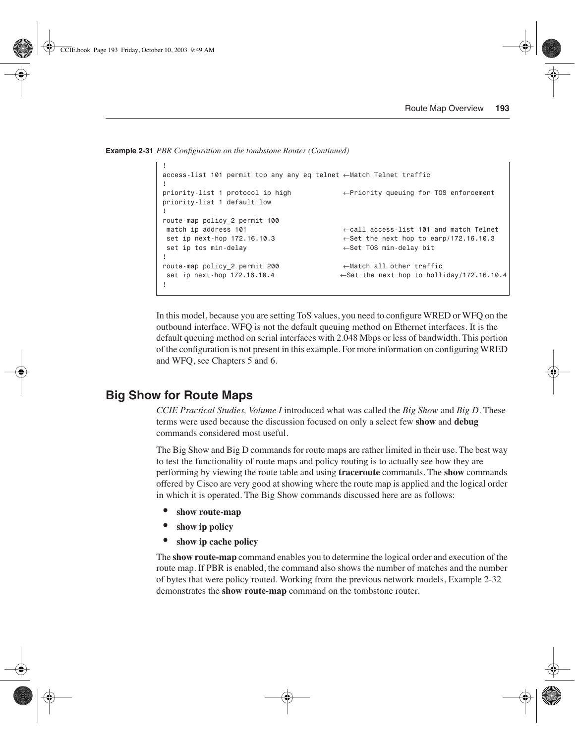**Example 2-31** *PBR Configuration on the tombstone Router (Continued)*

```
!
access-list 101 permit tcp any any eq telnet ←Match Telnet traffic
!
priority-list 1 protocol ip high ←Priority queuing for TOS enforcement
priority-list 1 default low
!
route-map policy_2 permit 100
 match ip address 101 ←call access-list 101 and match Telnet
 set ip next-hop 172.16.10.3 ←Set the next hop to earp/172.16.10.3
 set ip tos min-delay ←Set TOS min-delay bit
!
route-map policy_2 permit 200 ←Match all other traffic
 set ip next-hop 172.16.10.4 ←Set the next hop to holliday/172.16.10.4
!
```
In this model, because you are setting ToS values, you need to configure WRED or WFQ on the outbound interface. WFQ is not the default queuing method on Ethernet interfaces. It is the default queuing method on serial interfaces with 2.048 Mbps or less of bandwidth. This portion of the configuration is not present in this example. For more information on configuring WRED and WFQ, see Chapters 5 and 6.

## **Big Show for Route Maps**

*CCIE Practical Studies, Volume I* introduced what was called the *Big Show* and *Big D*. These terms were used because the discussion focused on only a select few **show** and **debug**  commands considered most useful.

The Big Show and Big D commands for route maps are rather limited in their use. The best way to test the functionality of route maps and policy routing is to actually see how they are performing by viewing the route table and using **traceroute** commands. The **show** commands offered by Cisco are very good at showing where the route map is applied and the logical order in which it is operated. The Big Show commands discussed here are as follows:

- **show route-map**
- **show ip policy**
- **show ip cache policy**

The **show route-map** command enables you to determine the logical order and execution of the route map. If PBR is enabled, the command also shows the number of matches and the number of bytes that were policy routed. Working from the previous network models, Example 2-32 demonstrates the **show route-map** command on the tombstone router.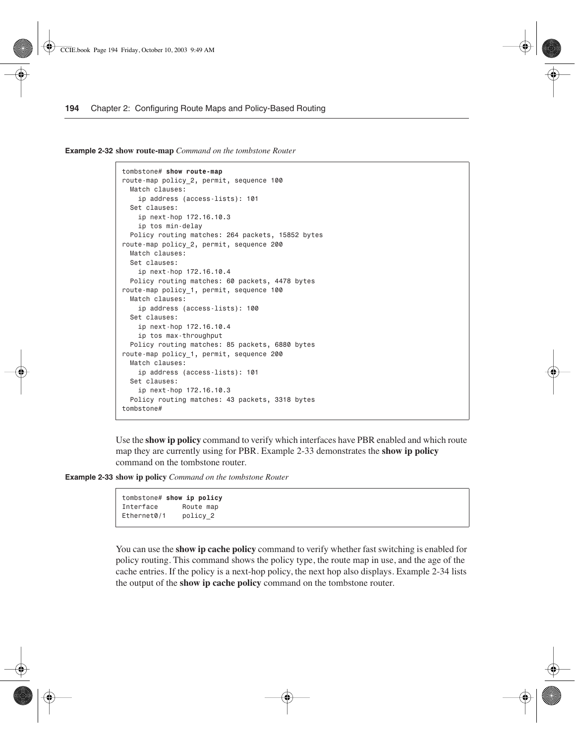**Example 2-32 show route-map** *Command on the tombstone Router* 

```
tombstone# show route-map
route-map policy_2, permit, sequence 100
   Match clauses:
     ip address (access-lists): 101
   Set clauses:
    ip next-hop 172.16.10.3
    ip tos min-delay
  Policy routing matches: 264 packets, 15852 bytes
route-map policy_2, permit, sequence 200
   Match clauses:
   Set clauses:
     ip next-hop 172.16.10.4
   Policy routing matches: 60 packets, 4478 bytes
route-map policy_1, permit, sequence 100
   Match clauses:
    ip address (access-lists): 100
   Set clauses:
    ip next-hop 172.16.10.4
     ip tos max-throughput
   Policy routing matches: 85 packets, 6880 bytes
route-map policy_1, permit, sequence 200
   Match clauses:
     ip address (access-lists): 101
   Set clauses:
     ip next-hop 172.16.10.3
   Policy routing matches: 43 packets, 3318 bytes
tombstone#
```
Use the **show ip policy** command to verify which interfaces have PBR enabled and which route map they are currently using for PBR. Example 2-33 demonstrates the **show ip policy**  command on the tombstone router.

**Example 2-33 show ip policy** *Command on the tombstone Router* 

```
tombstone# show ip policy
Interface Route map
Ethernet0/1 policy_2
```
You can use the **show ip cache policy** command to verify whether fast switching is enabled for policy routing. This command shows the policy type, the route map in use, and the age of the cache entries. If the policy is a next-hop policy, the next hop also displays. Example 2-34 lists the output of the **show ip cache policy** command on the tombstone router.